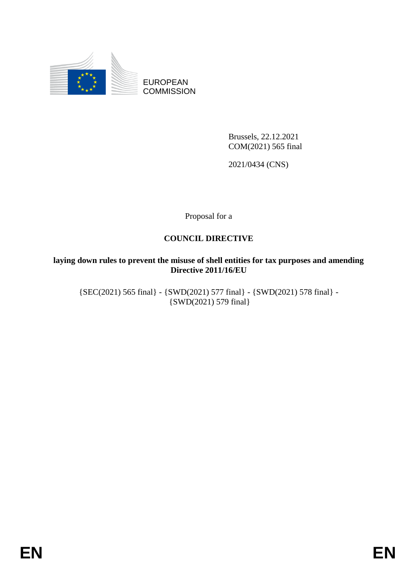

EUROPEAN **COMMISSION** 

> Brussels, 22.12.2021 COM(2021) 565 final

2021/0434 (CNS)

Proposal for a

# **COUNCIL DIRECTIVE**

# **laying down rules to prevent the misuse of shell entities for tax purposes and amending Directive 2011/16/EU**

{SEC(2021) 565 final} - {SWD(2021) 577 final} - {SWD(2021) 578 final} - {SWD(2021) 579 final}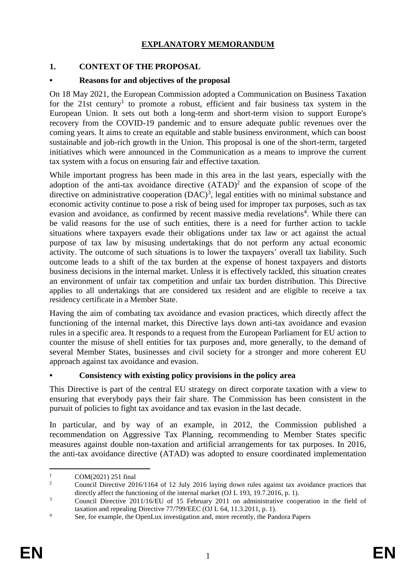# **EXPLANATORY MEMORANDUM**

# **1. CONTEXT OF THE PROPOSAL**

# **• Reasons for and objectives of the proposal**

On 18 May 2021, the European Commission adopted a Communication on Business Taxation for the 21st century<sup>1</sup> to promote a robust, efficient and fair business tax system in the European Union. It sets out both a long-term and short-term vision to support Europe's recovery from the COVID-19 pandemic and to ensure adequate public revenues over the coming years. It aims to create an equitable and stable business environment, which can boost sustainable and job-rich growth in the Union. This proposal is one of the short-term, targeted initiatives which were announced in the Communication as a means to improve the current tax system with a focus on ensuring fair and effective taxation.

While important progress has been made in this area in the last years, especially with the adoption of the anti-tax avoidance directive  $(ATAD)^2$  and the expansion of scope of the directive on administrative cooperation  $(DAC)^3$ , legal entities with no minimal substance and economic activity continue to pose a risk of being used for improper tax purposes, such as tax evasion and avoidance, as confirmed by recent massive media revelations<sup>4</sup>. While there can be valid reasons for the use of such entities, there is a need for further action to tackle situations where taxpayers evade their obligations under tax law or act against the actual purpose of tax law by misusing undertakings that do not perform any actual economic activity. The outcome of such situations is to lower the taxpayers' overall tax liability. Such outcome leads to a shift of the tax burden at the expense of honest taxpayers and distorts business decisions in the internal market. Unless it is effectively tackled, this situation creates an environment of unfair tax competition and unfair tax burden distribution. This Directive applies to all undertakings that are considered tax resident and are eligible to receive a tax residency certificate in a Member State.

Having the aim of combating tax avoidance and evasion practices, which directly affect the functioning of the internal market, this Directive lays down anti-tax avoidance and evasion rules in a specific area. It responds to a request from the European Parliament for EU action to counter the misuse of shell entities for tax purposes and, more generally, to the demand of several Member States, businesses and civil society for a stronger and more coherent EU approach against tax avoidance and evasion.

# **• Consistency with existing policy provisions in the policy area**

This Directive is part of the central EU strategy on direct corporate taxation with a view to ensuring that everybody pays their fair share. The Commission has been consistent in the pursuit of policies to fight tax avoidance and tax evasion in the last decade.

In particular, and by way of an example, in 2012, the Commission published a recommendation on Aggressive Tax Planning, recommending to Member States specific measures against double non-taxation and artificial arrangements for tax purposes. In 2016, the anti-tax avoidance directive (ATAD) was adopted to ensure coordinated implementation

 $\overline{a}$ 

 $1 \qquad \qquad \text{COM}(2021) \; 251 \text{ final}$ <br>  $2 \qquad \qquad \text{Convail Diracities} \; 201$ 

<sup>2</sup> Council Directive 2016/1164 of 12 July 2016 laying down rules against tax avoidance practices that directly affect the functioning of the internal market (OJ L 193, 19.7.2016, p. 1).

<sup>&</sup>lt;sup>3</sup> Council Directive 2011/16/EU of 15 February 2011 on administrative cooperation in the field of taxation and repealing Directive 77/799/EEC (OJ L 64, 11.3.2011, p. 1).

<sup>&</sup>lt;sup>4</sup> See, for example, the OpenLux investigation and, more recently, the Pandora Papers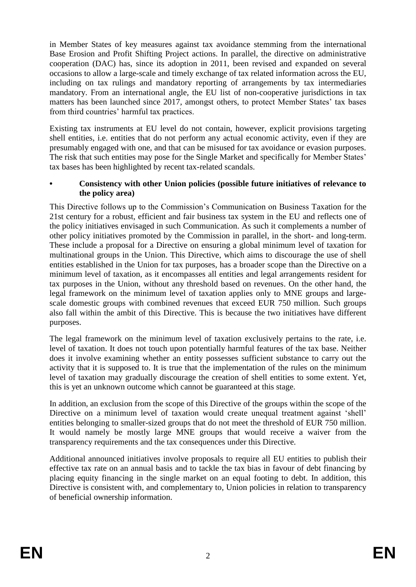in Member States of key measures against tax avoidance stemming from the international Base Erosion and Profit Shifting Project actions. In parallel, the directive on administrative cooperation (DAC) has, since its adoption in 2011, been revised and expanded on several occasions to allow a large-scale and timely exchange of tax related information across the EU, including on tax rulings and mandatory reporting of arrangements by tax intermediaries mandatory. From an international angle, the EU list of non-cooperative jurisdictions in tax matters has been launched since 2017, amongst others, to protect Member States' tax bases from third countries' harmful tax practices.

Existing tax instruments at EU level do not contain, however, explicit provisions targeting shell entities, i.e. entities that do not perform any actual economic activity, even if they are presumably engaged with one, and that can be misused for tax avoidance or evasion purposes. The risk that such entities may pose for the Single Market and specifically for Member States' tax bases has been highlighted by recent tax-related scandals.

## **• Consistency with other Union policies (possible future initiatives of relevance to the policy area)**

This Directive follows up to the Commission's Communication on Business Taxation for the 21st century for a robust, efficient and fair business tax system in the EU and reflects one of the policy initiatives envisaged in such Communication. As such it complements a number of other policy initiatives promoted by the Commission in parallel, in the short- and long-term. These include a proposal for a Directive on ensuring a global minimum level of taxation for multinational groups in the Union. This Directive, which aims to discourage the use of shell entities established in the Union for tax purposes, has a broader scope than the Directive on a minimum level of taxation, as it encompasses all entities and legal arrangements resident for tax purposes in the Union, without any threshold based on revenues. On the other hand, the legal framework on the minimum level of taxation applies only to MNE groups and largescale domestic groups with combined revenues that exceed EUR 750 million. Such groups also fall within the ambit of this Directive. This is because the two initiatives have different purposes.

The legal framework on the minimum level of taxation exclusively pertains to the rate, i.e. level of taxation. It does not touch upon potentially harmful features of the tax base. Neither does it involve examining whether an entity possesses sufficient substance to carry out the activity that it is supposed to. It is true that the implementation of the rules on the minimum level of taxation may gradually discourage the creation of shell entities to some extent. Yet, this is yet an unknown outcome which cannot be guaranteed at this stage.

In addition, an exclusion from the scope of this Directive of the groups within the scope of the Directive on a minimum level of taxation would create unequal treatment against 'shell' entities belonging to smaller-sized groups that do not meet the threshold of EUR 750 million. It would namely be mostly large MNE groups that would receive a waiver from the transparency requirements and the tax consequences under this Directive.

Additional announced initiatives involve proposals to require all EU entities to publish their effective tax rate on an annual basis and to tackle the tax bias in favour of debt financing by placing equity financing in the single market on an equal footing to debt. In addition, this Directive is consistent with, and complementary to, Union policies in relation to transparency of beneficial ownership information.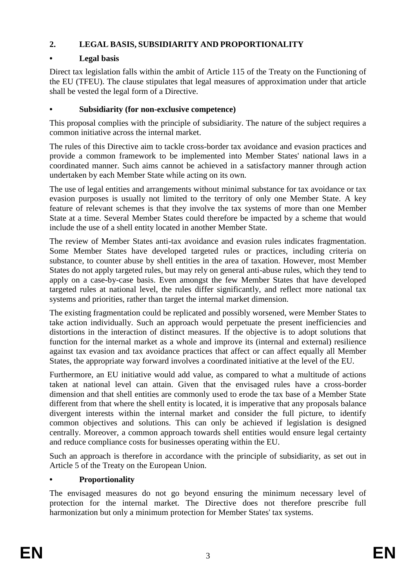# **2. LEGAL BASIS, SUBSIDIARITY AND PROPORTIONALITY**

# **• Legal basis**

Direct tax legislation falls within the ambit of Article 115 of the Treaty on the Functioning of the EU (TFEU). The clause stipulates that legal measures of approximation under that article shall be vested the legal form of a Directive.

# **• Subsidiarity (for non-exclusive competence)**

This proposal complies with the principle of subsidiarity. The nature of the subject requires a common initiative across the internal market.

The rules of this Directive aim to tackle cross-border tax avoidance and evasion practices and provide a common framework to be implemented into Member States' national laws in a coordinated manner. Such aims cannot be achieved in a satisfactory manner through action undertaken by each Member State while acting on its own.

The use of legal entities and arrangements without minimal substance for tax avoidance or tax evasion purposes is usually not limited to the territory of only one Member State. A key feature of relevant schemes is that they involve the tax systems of more than one Member State at a time. Several Member States could therefore be impacted by a scheme that would include the use of a shell entity located in another Member State.

The review of Member States anti-tax avoidance and evasion rules indicates fragmentation. Some Member States have developed targeted rules or practices, including criteria on substance, to counter abuse by shell entities in the area of taxation. However, most Member States do not apply targeted rules, but may rely on general anti-abuse rules, which they tend to apply on a case-by-case basis. Even amongst the few Member States that have developed targeted rules at national level, the rules differ significantly, and reflect more national tax systems and priorities, rather than target the internal market dimension.

The existing fragmentation could be replicated and possibly worsened, were Member States to take action individually. Such an approach would perpetuate the present inefficiencies and distortions in the interaction of distinct measures. If the objective is to adopt solutions that function for the internal market as a whole and improve its (internal and external) resilience against tax evasion and tax avoidance practices that affect or can affect equally all Member States, the appropriate way forward involves a coordinated initiative at the level of the EU.

Furthermore, an EU initiative would add value, as compared to what a multitude of actions taken at national level can attain. Given that the envisaged rules have a cross-border dimension and that shell entities are commonly used to erode the tax base of a Member State different from that where the shell entity is located, it is imperative that any proposals balance divergent interests within the internal market and consider the full picture, to identify common objectives and solutions. This can only be achieved if legislation is designed centrally. Moreover, a common approach towards shell entities would ensure legal certainty and reduce compliance costs for businesses operating within the EU.

Such an approach is therefore in accordance with the principle of subsidiarity, as set out in Article 5 of the Treaty on the European Union.

# **• Proportionality**

The envisaged measures do not go beyond ensuring the minimum necessary level of protection for the internal market. The Directive does not therefore prescribe full harmonization but only a minimum protection for Member States' tax systems.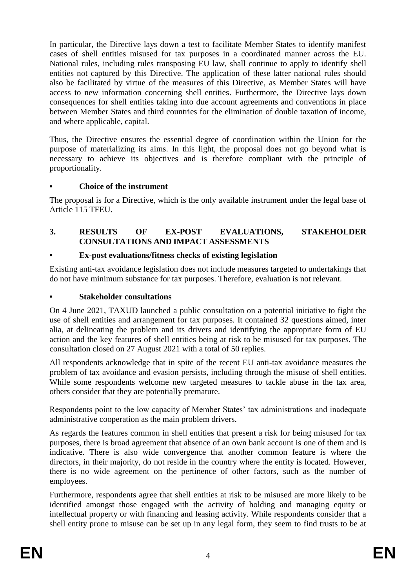In particular, the Directive lays down a test to facilitate Member States to identify manifest cases of shell entities misused for tax purposes in a coordinated manner across the EU. National rules, including rules transposing EU law, shall continue to apply to identify shell entities not captured by this Directive. The application of these latter national rules should also be facilitated by virtue of the measures of this Directive, as Member States will have access to new information concerning shell entities. Furthermore, the Directive lays down consequences for shell entities taking into due account agreements and conventions in place between Member States and third countries for the elimination of double taxation of income, and where applicable, capital.

Thus, the Directive ensures the essential degree of coordination within the Union for the purpose of materializing its aims. In this light, the proposal does not go beyond what is necessary to achieve its objectives and is therefore compliant with the principle of proportionality.

# **• Choice of the instrument**

The proposal is for a Directive, which is the only available instrument under the legal base of Article 115 TFEU.

#### **3. RESULTS OF EX-POST EVALUATIONS, STAKEHOLDER CONSULTATIONS AND IMPACT ASSESSMENTS**

#### **• Ex-post evaluations/fitness checks of existing legislation**

Existing anti-tax avoidance legislation does not include measures targeted to undertakings that do not have minimum substance for tax purposes. Therefore, evaluation is not relevant.

#### **• Stakeholder consultations**

On 4 June 2021, TAXUD launched a public consultation on a potential initiative to fight the use of shell entities and arrangement for tax purposes. It contained 32 questions aimed, inter alia, at delineating the problem and its drivers and identifying the appropriate form of EU action and the key features of shell entities being at risk to be misused for tax purposes. The consultation closed on 27 August 2021 with a total of 50 replies.

All respondents acknowledge that in spite of the recent EU anti-tax avoidance measures the problem of tax avoidance and evasion persists, including through the misuse of shell entities. While some respondents welcome new targeted measures to tackle abuse in the tax area, others consider that they are potentially premature.

Respondents point to the low capacity of Member States' tax administrations and inadequate administrative cooperation as the main problem drivers.

As regards the features common in shell entities that present a risk for being misused for tax purposes, there is broad agreement that absence of an own bank account is one of them and is indicative. There is also wide convergence that another common feature is where the directors, in their majority, do not reside in the country where the entity is located. However, there is no wide agreement on the pertinence of other factors, such as the number of employees.

Furthermore, respondents agree that shell entities at risk to be misused are more likely to be identified amongst those engaged with the activity of holding and managing equity or intellectual property or with financing and leasing activity. While respondents consider that a shell entity prone to misuse can be set up in any legal form, they seem to find trusts to be at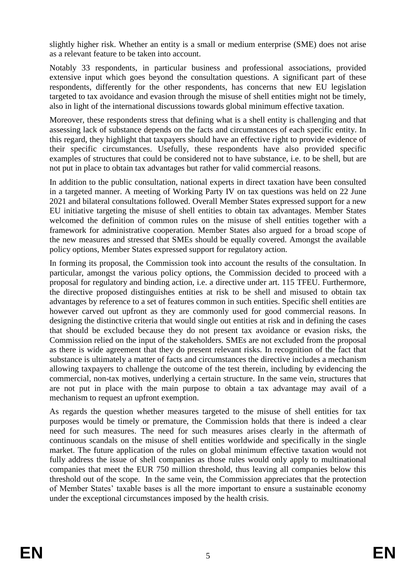slightly higher risk. Whether an entity is a small or medium enterprise (SME) does not arise as a relevant feature to be taken into account.

Notably 33 respondents, in particular business and professional associations, provided extensive input which goes beyond the consultation questions. A significant part of these respondents, differently for the other respondents, has concerns that new EU legislation targeted to tax avoidance and evasion through the misuse of shell entities might not be timely, also in light of the international discussions towards global minimum effective taxation.

Moreover, these respondents stress that defining what is a shell entity is challenging and that assessing lack of substance depends on the facts and circumstances of each specific entity. In this regard, they highlight that taxpayers should have an effective right to provide evidence of their specific circumstances. Usefully, these respondents have also provided specific examples of structures that could be considered not to have substance, i.e. to be shell, but are not put in place to obtain tax advantages but rather for valid commercial reasons.

In addition to the public consultation, national experts in direct taxation have been consulted in a targeted manner. A meeting of Working Party IV on tax questions was held on 22 June 2021 and bilateral consultations followed. Overall Member States expressed support for a new EU initiative targeting the misuse of shell entities to obtain tax advantages. Member States welcomed the definition of common rules on the misuse of shell entities together with a framework for administrative cooperation. Member States also argued for a broad scope of the new measures and stressed that SMEs should be equally covered. Amongst the available policy options, Member States expressed support for regulatory action.

In forming its proposal, the Commission took into account the results of the consultation. In particular, amongst the various policy options, the Commission decided to proceed with a proposal for regulatory and binding action, i.e. a directive under art. 115 TFEU. Furthermore, the directive proposed distinguishes entities at risk to be shell and misused to obtain tax advantages by reference to a set of features common in such entities. Specific shell entities are however carved out upfront as they are commonly used for good commercial reasons. In designing the distinctive criteria that would single out entities at risk and in defining the cases that should be excluded because they do not present tax avoidance or evasion risks, the Commission relied on the input of the stakeholders. SMEs are not excluded from the proposal as there is wide agreement that they do present relevant risks. In recognition of the fact that substance is ultimately a matter of facts and circumstances the directive includes a mechanism allowing taxpayers to challenge the outcome of the test therein, including by evidencing the commercial, non-tax motives, underlying a certain structure. In the same vein, structures that are not put in place with the main purpose to obtain a tax advantage may avail of a mechanism to request an upfront exemption.

As regards the question whether measures targeted to the misuse of shell entities for tax purposes would be timely or premature, the Commission holds that there is indeed a clear need for such measures. The need for such measures arises clearly in the aftermath of continuous scandals on the misuse of shell entities worldwide and specifically in the single market. The future application of the rules on global minimum effective taxation would not fully address the issue of shell companies as those rules would only apply to multinational companies that meet the EUR 750 million threshold, thus leaving all companies below this threshold out of the scope. In the same vein, the Commission appreciates that the protection of Member States' taxable bases is all the more important to ensure a sustainable economy under the exceptional circumstances imposed by the health crisis.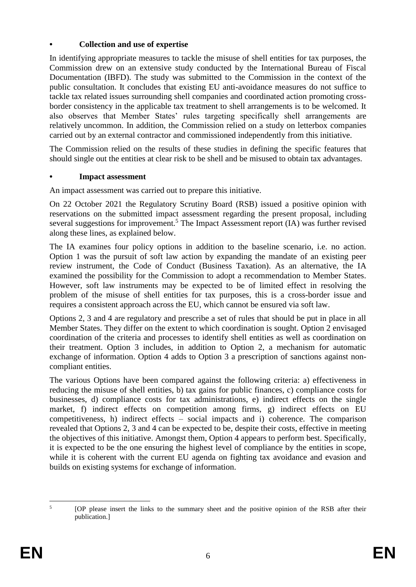# **• Collection and use of expertise**

In identifying appropriate measures to tackle the misuse of shell entities for tax purposes, the Commission drew on an extensive study conducted by the International Bureau of Fiscal Documentation (IBFD). The study was submitted to the Commission in the context of the public consultation. It concludes that existing EU anti-avoidance measures do not suffice to tackle tax related issues surrounding shell companies and coordinated action promoting crossborder consistency in the applicable tax treatment to shell arrangements is to be welcomed. It also observes that Member States' rules targeting specifically shell arrangements are relatively uncommon. In addition, the Commission relied on a study on letterbox companies carried out by an external contractor and commissioned independently from this initiative.

The Commission relied on the results of these studies in defining the specific features that should single out the entities at clear risk to be shell and be misused to obtain tax advantages.

## **• Impact assessment**

An impact assessment was carried out to prepare this initiative.

On 22 October 2021 the Regulatory Scrutiny Board (RSB) issued a positive opinion with reservations on the submitted impact assessment regarding the present proposal, including several suggestions for improvement.<sup>5</sup> The Impact Assessment report (IA) was further revised along these lines, as explained below.

The IA examines four policy options in addition to the baseline scenario, i.e. no action. Option 1 was the pursuit of soft law action by expanding the mandate of an existing peer review instrument, the Code of Conduct (Business Taxation). As an alternative, the IA examined the possibility for the Commission to adopt a recommendation to Member States. However, soft law instruments may be expected to be of limited effect in resolving the problem of the misuse of shell entities for tax purposes, this is a cross-border issue and requires a consistent approach across the EU, which cannot be ensured via soft law.

Options 2, 3 and 4 are regulatory and prescribe a set of rules that should be put in place in all Member States. They differ on the extent to which coordination is sought. Option 2 envisaged coordination of the criteria and processes to identify shell entities as well as coordination on their treatment. Option 3 includes, in addition to Option 2, a mechanism for automatic exchange of information. Option 4 adds to Option 3 a prescription of sanctions against noncompliant entities.

The various Options have been compared against the following criteria: a) effectiveness in reducing the misuse of shell entities, b) tax gains for public finances, c) compliance costs for businesses, d) compliance costs for tax administrations, e) indirect effects on the single market, f) indirect effects on competition among firms, g) indirect effects on EU competitiveness, h) indirect effects – social impacts and i) coherence. The comparison revealed that Options 2, 3 and 4 can be expected to be, despite their costs, effective in meeting the objectives of this initiative. Amongst them, Option 4 appears to perform best. Specifically, it is expected to be the one ensuring the highest level of compliance by the entities in scope, while it is coherent with the current EU agenda on fighting tax avoidance and evasion and builds on existing systems for exchange of information.

5

<sup>[</sup>OP please insert the links to the summary sheet and the positive opinion of the RSB after their publication.]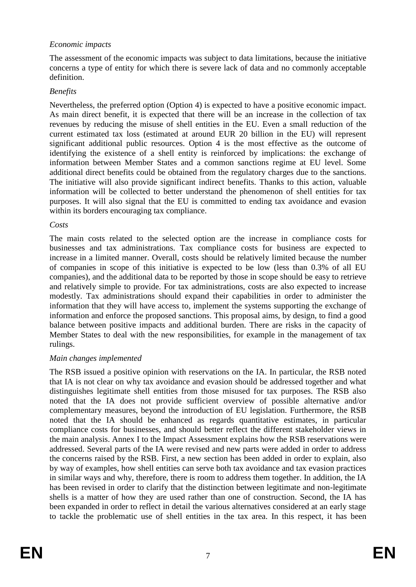## *Economic impacts*

The assessment of the economic impacts was subject to data limitations, because the initiative concerns a type of entity for which there is severe lack of data and no commonly acceptable definition.

#### *Benefits*

Nevertheless, the preferred option (Option 4) is expected to have a positive economic impact. As main direct benefit, it is expected that there will be an increase in the collection of tax revenues by reducing the misuse of shell entities in the EU. Even a small reduction of the current estimated tax loss (estimated at around EUR 20 billion in the EU) will represent significant additional public resources. Option 4 is the most effective as the outcome of identifying the existence of a shell entity is reinforced by implications: the exchange of information between Member States and a common sanctions regime at EU level. Some additional direct benefits could be obtained from the regulatory charges due to the sanctions. The initiative will also provide significant indirect benefits. Thanks to this action, valuable information will be collected to better understand the phenomenon of shell entities for tax purposes. It will also signal that the EU is committed to ending tax avoidance and evasion within its borders encouraging tax compliance.

#### *Costs*

The main costs related to the selected option are the increase in compliance costs for businesses and tax administrations. Tax compliance costs for business are expected to increase in a limited manner. Overall, costs should be relatively limited because the number of companies in scope of this initiative is expected to be low (less than 0.3% of all EU companies), and the additional data to be reported by those in scope should be easy to retrieve and relatively simple to provide. For tax administrations, costs are also expected to increase modestly. Tax administrations should expand their capabilities in order to administer the information that they will have access to, implement the systems supporting the exchange of information and enforce the proposed sanctions. This proposal aims, by design, to find a good balance between positive impacts and additional burden. There are risks in the capacity of Member States to deal with the new responsibilities, for example in the management of tax rulings.

#### *Main changes implemented*

The RSB issued a positive opinion with reservations on the IA. In particular, the RSB noted that IA is not clear on why tax avoidance and evasion should be addressed together and what distinguishes legitimate shell entities from those misused for tax purposes. The RSB also noted that the IA does not provide sufficient overview of possible alternative and/or complementary measures, beyond the introduction of EU legislation. Furthermore, the RSB noted that the IA should be enhanced as regards quantitative estimates, in particular compliance costs for businesses, and should better reflect the different stakeholder views in the main analysis. Annex I to the Impact Assessment explains how the RSB reservations were addressed. Several parts of the IA were revised and new parts were added in order to address the concerns raised by the RSB. First, a new section has been added in order to explain, also by way of examples, how shell entities can serve both tax avoidance and tax evasion practices in similar ways and why, therefore, there is room to address them together. In addition, the IA has been revised in order to clarify that the distinction between legitimate and non-legitimate shells is a matter of how they are used rather than one of construction. Second, the IA has been expanded in order to reflect in detail the various alternatives considered at an early stage to tackle the problematic use of shell entities in the tax area. In this respect, it has been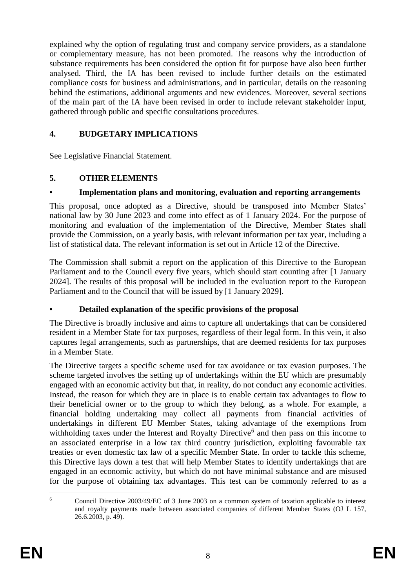explained why the option of regulating trust and company service providers, as a standalone or complementary measure, has not been promoted. The reasons why the introduction of substance requirements has been considered the option fit for purpose have also been further analysed. Third, the IA has been revised to include further details on the estimated compliance costs for business and administrations, and in particular, details on the reasoning behind the estimations, additional arguments and new evidences. Moreover, several sections of the main part of the IA have been revised in order to include relevant stakeholder input, gathered through public and specific consultations procedures.

# **4. BUDGETARY IMPLICATIONS**

See Legislative Financial Statement.

# **5. OTHER ELEMENTS**

# **• Implementation plans and monitoring, evaluation and reporting arrangements**

This proposal, once adopted as a Directive, should be transposed into Member States' national law by 30 June 2023 and come into effect as of 1 January 2024. For the purpose of monitoring and evaluation of the implementation of the Directive, Member States shall provide the Commission, on a yearly basis, with relevant information per tax year, including a list of statistical data. The relevant information is set out in Article 12 of the Directive.

The Commission shall submit a report on the application of this Directive to the European Parliament and to the Council every five years, which should start counting after [1 January 2024]. The results of this proposal will be included in the evaluation report to the European Parliament and to the Council that will be issued by [1 January 2029].

# **• Detailed explanation of the specific provisions of the proposal**

The Directive is broadly inclusive and aims to capture all undertakings that can be considered resident in a Member State for tax purposes, regardless of their legal form. In this vein, it also captures legal arrangements, such as partnerships, that are deemed residents for tax purposes in a Member State.

The Directive targets a specific scheme used for tax avoidance or tax evasion purposes. The scheme targeted involves the setting up of undertakings within the EU which are presumably engaged with an economic activity but that, in reality, do not conduct any economic activities. Instead, the reason for which they are in place is to enable certain tax advantages to flow to their beneficial owner or to the group to which they belong, as a whole. For example, a financial holding undertaking may collect all payments from financial activities of undertakings in different EU Member States, taking advantage of the exemptions from withholding taxes under the Interest and Royalty Directive<sup>6</sup> and then pass on this income to an associated enterprise in a low tax third country jurisdiction, exploiting favourable tax treaties or even domestic tax law of a specific Member State. In order to tackle this scheme, this Directive lays down a test that will help Member States to identify undertakings that are engaged in an economic activity, but which do not have minimal substance and are misused for the purpose of obtaining tax advantages. This test can be commonly referred to as a

 $\overline{6}$ <sup>6</sup> Council Directive 2003/49/EC of 3 June 2003 on a common system of taxation applicable to interest and royalty payments made between associated companies of different Member States (OJ L 157, 26.6.2003, p. 49).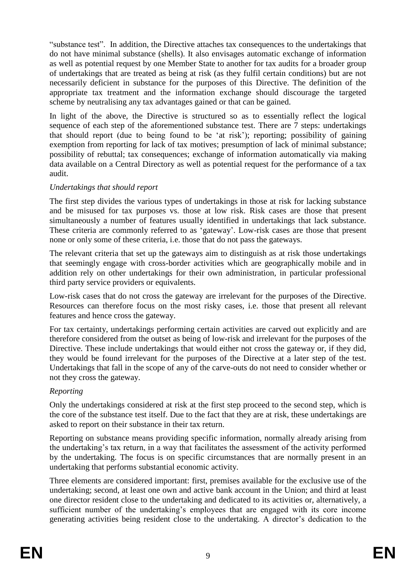"substance test". In addition, the Directive attaches tax consequences to the undertakings that do not have minimal substance (shells). It also envisages automatic exchange of information as well as potential request by one Member State to another for tax audits for a broader group of undertakings that are treated as being at risk (as they fulfil certain conditions) but are not necessarily deficient in substance for the purposes of this Directive. The definition of the appropriate tax treatment and the information exchange should discourage the targeted scheme by neutralising any tax advantages gained or that can be gained.

In light of the above, the Directive is structured so as to essentially reflect the logical sequence of each step of the aforementioned substance test. There are 7 steps: undertakings that should report (due to being found to be 'at risk'); reporting; possibility of gaining exemption from reporting for lack of tax motives; presumption of lack of minimal substance; possibility of rebuttal; tax consequences; exchange of information automatically via making data available on a Central Directory as well as potential request for the performance of a tax audit.

# *Undertakings that should report*

The first step divides the various types of undertakings in those at risk for lacking substance and be misused for tax purposes vs. those at low risk. Risk cases are those that present simultaneously a number of features usually identified in undertakings that lack substance. These criteria are commonly referred to as 'gateway'. Low-risk cases are those that present none or only some of these criteria, i.e. those that do not pass the gateways.

The relevant criteria that set up the gateways aim to distinguish as at risk those undertakings that seemingly engage with cross-border activities which are geographically mobile and in addition rely on other undertakings for their own administration, in particular professional third party service providers or equivalents.

Low-risk cases that do not cross the gateway are irrelevant for the purposes of the Directive. Resources can therefore focus on the most risky cases, i.e. those that present all relevant features and hence cross the gateway.

For tax certainty, undertakings performing certain activities are carved out explicitly and are therefore considered from the outset as being of low-risk and irrelevant for the purposes of the Directive. These include undertakings that would either not cross the gateway or, if they did, they would be found irrelevant for the purposes of the Directive at a later step of the test. Undertakings that fall in the scope of any of the carve-outs do not need to consider whether or not they cross the gateway.

# *Reporting*

Only the undertakings considered at risk at the first step proceed to the second step, which is the core of the substance test itself. Due to the fact that they are at risk, these undertakings are asked to report on their substance in their tax return.

Reporting on substance means providing specific information, normally already arising from the undertaking's tax return, in a way that facilitates the assessment of the activity performed by the undertaking. The focus is on specific circumstances that are normally present in an undertaking that performs substantial economic activity.

Three elements are considered important: first, premises available for the exclusive use of the undertaking; second, at least one own and active bank account in the Union; and third at least one director resident close to the undertaking and dedicated to its activities or, alternatively, a sufficient number of the undertaking's employees that are engaged with its core income generating activities being resident close to the undertaking. A director's dedication to the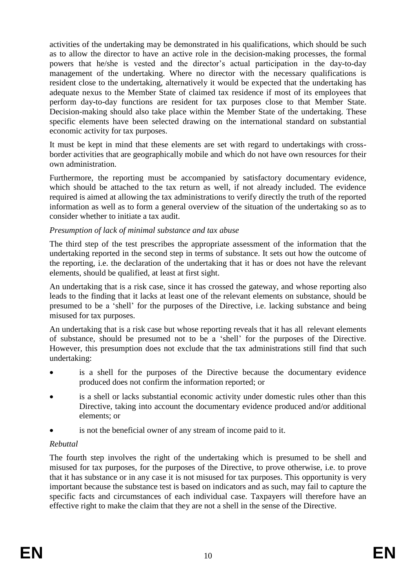activities of the undertaking may be demonstrated in his qualifications, which should be such as to allow the director to have an active role in the decision-making processes, the formal powers that he/she is vested and the director's actual participation in the day-to-day management of the undertaking. Where no director with the necessary qualifications is resident close to the undertaking, alternatively it would be expected that the undertaking has adequate nexus to the Member State of claimed tax residence if most of its employees that perform day-to-day functions are resident for tax purposes close to that Member State. Decision-making should also take place within the Member State of the undertaking. These specific elements have been selected drawing on the international standard on substantial economic activity for tax purposes.

It must be kept in mind that these elements are set with regard to undertakings with crossborder activities that are geographically mobile and which do not have own resources for their own administration.

Furthermore, the reporting must be accompanied by satisfactory documentary evidence, which should be attached to the tax return as well, if not already included. The evidence required is aimed at allowing the tax administrations to verify directly the truth of the reported information as well as to form a general overview of the situation of the undertaking so as to consider whether to initiate a tax audit.

## *Presumption of lack of minimal substance and tax abuse*

The third step of the test prescribes the appropriate assessment of the information that the undertaking reported in the second step in terms of substance. It sets out how the outcome of the reporting, i.e. the declaration of the undertaking that it has or does not have the relevant elements, should be qualified, at least at first sight.

An undertaking that is a risk case, since it has crossed the gateway, and whose reporting also leads to the finding that it lacks at least one of the relevant elements on substance, should be presumed to be a 'shell' for the purposes of the Directive, i.e. lacking substance and being misused for tax purposes.

An undertaking that is a risk case but whose reporting reveals that it has all relevant elements of substance, should be presumed not to be a 'shell' for the purposes of the Directive. However, this presumption does not exclude that the tax administrations still find that such undertaking:

- is a shell for the purposes of the Directive because the documentary evidence produced does not confirm the information reported; or
- is a shell or lacks substantial economic activity under domestic rules other than this Directive, taking into account the documentary evidence produced and/or additional elements; or
- is not the beneficial owner of any stream of income paid to it.

# *Rebuttal*

The fourth step involves the right of the undertaking which is presumed to be shell and misused for tax purposes, for the purposes of the Directive, to prove otherwise, i.e. to prove that it has substance or in any case it is not misused for tax purposes. This opportunity is very important because the substance test is based on indicators and as such, may fail to capture the specific facts and circumstances of each individual case. Taxpayers will therefore have an effective right to make the claim that they are not a shell in the sense of the Directive.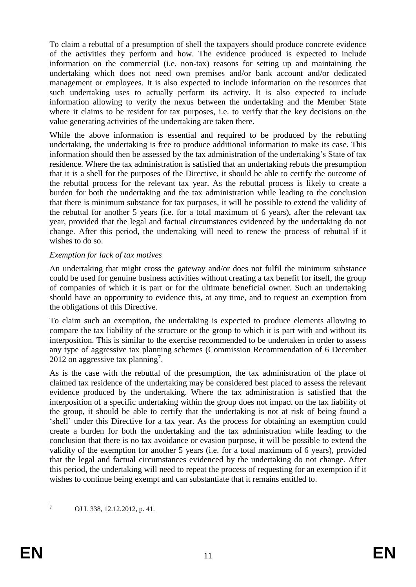To claim a rebuttal of a presumption of shell the taxpayers should produce concrete evidence of the activities they perform and how. The evidence produced is expected to include information on the commercial (i.e. non-tax) reasons for setting up and maintaining the undertaking which does not need own premises and/or bank account and/or dedicated management or employees. It is also expected to include information on the resources that such undertaking uses to actually perform its activity. It is also expected to include information allowing to verify the nexus between the undertaking and the Member State where it claims to be resident for tax purposes, i.e. to verify that the key decisions on the value generating activities of the undertaking are taken there.

While the above information is essential and required to be produced by the rebutting undertaking, the undertaking is free to produce additional information to make its case. This information should then be assessed by the tax administration of the undertaking's State of tax residence. Where the tax administration is satisfied that an undertaking rebuts the presumption that it is a shell for the purposes of the Directive, it should be able to certify the outcome of the rebuttal process for the relevant tax year. As the rebuttal process is likely to create a burden for both the undertaking and the tax administration while leading to the conclusion that there is minimum substance for tax purposes, it will be possible to extend the validity of the rebuttal for another 5 years (i.e. for a total maximum of 6 years), after the relevant tax year, provided that the legal and factual circumstances evidenced by the undertaking do not change. After this period, the undertaking will need to renew the process of rebuttal if it wishes to do so.

## *Exemption for lack of tax motives*

An undertaking that might cross the gateway and/or does not fulfil the minimum substance could be used for genuine business activities without creating a tax benefit for itself, the group of companies of which it is part or for the ultimate beneficial owner. Such an undertaking should have an opportunity to evidence this, at any time, and to request an exemption from the obligations of this Directive.

To claim such an exemption, the undertaking is expected to produce elements allowing to compare the tax liability of the structure or the group to which it is part with and without its interposition. This is similar to the exercise recommended to be undertaken in order to assess any type of aggressive tax planning schemes (Commission Recommendation of 6 December 2012 on aggressive tax planning<sup>7</sup>.

As is the case with the rebuttal of the presumption, the tax administration of the place of claimed tax residence of the undertaking may be considered best placed to assess the relevant evidence produced by the undertaking. Where the tax administration is satisfied that the interposition of a specific undertaking within the group does not impact on the tax liability of the group, it should be able to certify that the undertaking is not at risk of being found a 'shell' under this Directive for a tax year. As the process for obtaining an exemption could create a burden for both the undertaking and the tax administration while leading to the conclusion that there is no tax avoidance or evasion purpose, it will be possible to extend the validity of the exemption for another 5 years (i.e. for a total maximum of 6 years), provided that the legal and factual circumstances evidenced by the undertaking do not change. After this period, the undertaking will need to repeat the process of requesting for an exemption if it wishes to continue being exempt and can substantiate that it remains entitled to.

 $\overline{7}$ OJ L 338, 12.12.2012, p. 41.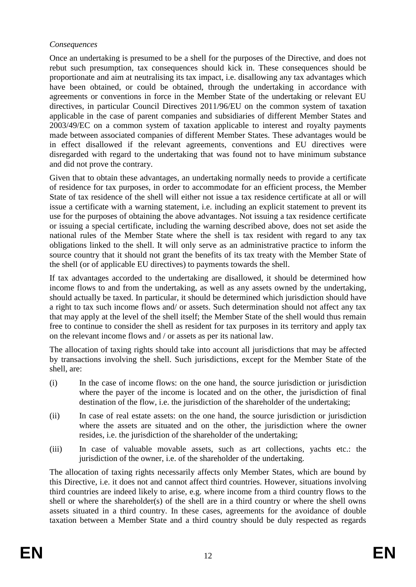## *Consequences*

Once an undertaking is presumed to be a shell for the purposes of the Directive, and does not rebut such presumption, tax consequences should kick in. These consequences should be proportionate and aim at neutralising its tax impact, i.e. disallowing any tax advantages which have been obtained, or could be obtained, through the undertaking in accordance with agreements or conventions in force in the Member State of the undertaking or relevant EU directives, in particular Council Directives 2011/96/EU on the common system of taxation applicable in the case of parent companies and subsidiaries of different Member States and 2003/49/EC on a common system of taxation applicable to interest and royalty payments made between associated companies of different Member States. These advantages would be in effect disallowed if the relevant agreements, conventions and EU directives were disregarded with regard to the undertaking that was found not to have minimum substance and did not prove the contrary.

Given that to obtain these advantages, an undertaking normally needs to provide a certificate of residence for tax purposes, in order to accommodate for an efficient process, the Member State of tax residence of the shell will either not issue a tax residence certificate at all or will issue a certificate with a warning statement, i.e. including an explicit statement to prevent its use for the purposes of obtaining the above advantages. Not issuing a tax residence certificate or issuing a special certificate, including the warning described above, does not set aside the national rules of the Member State where the shell is tax resident with regard to any tax obligations linked to the shell. It will only serve as an administrative practice to inform the source country that it should not grant the benefits of its tax treaty with the Member State of the shell (or of applicable EU directives) to payments towards the shell.

If tax advantages accorded to the undertaking are disallowed, it should be determined how income flows to and from the undertaking, as well as any assets owned by the undertaking, should actually be taxed. In particular, it should be determined which jurisdiction should have a right to tax such income flows and/ or assets. Such determination should not affect any tax that may apply at the level of the shell itself; the Member State of the shell would thus remain free to continue to consider the shell as resident for tax purposes in its territory and apply tax on the relevant income flows and / or assets as per its national law.

The allocation of taxing rights should take into account all jurisdictions that may be affected by transactions involving the shell. Such jurisdictions, except for the Member State of the shell, are:

- (i) In the case of income flows: on the one hand, the source jurisdiction or jurisdiction where the payer of the income is located and on the other, the jurisdiction of final destination of the flow, i.e. the jurisdiction of the shareholder of the undertaking;
- (ii) In case of real estate assets: on the one hand, the source jurisdiction or jurisdiction where the assets are situated and on the other, the jurisdiction where the owner resides, i.e. the jurisdiction of the shareholder of the undertaking;
- (iii) In case of valuable movable assets, such as art collections, yachts etc.: the jurisdiction of the owner, i.e. of the shareholder of the undertaking.

The allocation of taxing rights necessarily affects only Member States, which are bound by this Directive, i.e. it does not and cannot affect third countries. However, situations involving third countries are indeed likely to arise, e.g. where income from a third country flows to the shell or where the shareholder(s) of the shell are in a third country or where the shell owns assets situated in a third country. In these cases, agreements for the avoidance of double taxation between a Member State and a third country should be duly respected as regards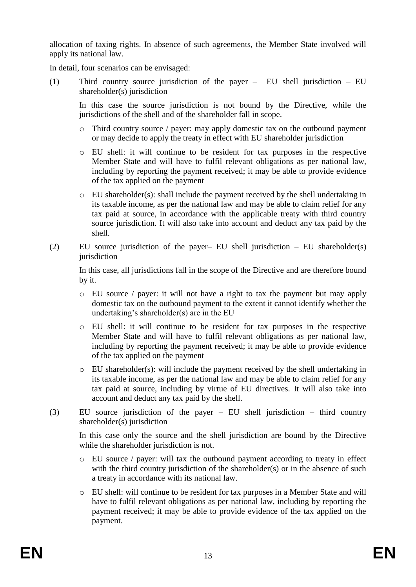allocation of taxing rights. In absence of such agreements, the Member State involved will apply its national law.

In detail, four scenarios can be envisaged:

(1) Third country source jurisdiction of the payer – EU shell jurisdiction – EU shareholder(s) jurisdiction

In this case the source jurisdiction is not bound by the Directive, while the jurisdictions of the shell and of the shareholder fall in scope.

- $\circ$  Third country source / payer: may apply domestic tax on the outbound payment or may decide to apply the treaty in effect with EU shareholder jurisdiction
- o EU shell: it will continue to be resident for tax purposes in the respective Member State and will have to fulfil relevant obligations as per national law, including by reporting the payment received; it may be able to provide evidence of the tax applied on the payment
- o EU shareholder(s): shall include the payment received by the shell undertaking in its taxable income, as per the national law and may be able to claim relief for any tax paid at source, in accordance with the applicable treaty with third country source jurisdiction. It will also take into account and deduct any tax paid by the shell.
- (2) EU source jurisdiction of the payer– EU shell jurisdiction EU shareholder(s) iurisdiction

In this case, all jurisdictions fall in the scope of the Directive and are therefore bound by it.

- o EU source / payer: it will not have a right to tax the payment but may apply domestic tax on the outbound payment to the extent it cannot identify whether the undertaking's shareholder(s) are in the EU
- o EU shell: it will continue to be resident for tax purposes in the respective Member State and will have to fulfil relevant obligations as per national law, including by reporting the payment received; it may be able to provide evidence of the tax applied on the payment
- o EU shareholder(s): will include the payment received by the shell undertaking in its taxable income, as per the national law and may be able to claim relief for any tax paid at source, including by virtue of EU directives. It will also take into account and deduct any tax paid by the shell.
- (3) EU source jurisdiction of the payer EU shell jurisdiction third country shareholder(s) jurisdiction

In this case only the source and the shell jurisdiction are bound by the Directive while the shareholder jurisdiction is not.

- o EU source / payer: will tax the outbound payment according to treaty in effect with the third country jurisdiction of the shareholder(s) or in the absence of such a treaty in accordance with its national law.
- o EU shell: will continue to be resident for tax purposes in a Member State and will have to fulfil relevant obligations as per national law, including by reporting the payment received; it may be able to provide evidence of the tax applied on the payment.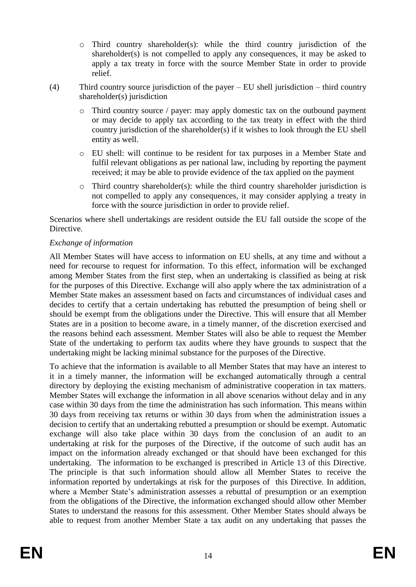- o Third country shareholder(s): while the third country jurisdiction of the shareholder(s) is not compelled to apply any consequences, it may be asked to apply a tax treaty in force with the source Member State in order to provide relief.
- (4) Third country source jurisdiction of the payer EU shell jurisdiction third country shareholder(s) jurisdiction
	- o Third country source / payer: may apply domestic tax on the outbound payment or may decide to apply tax according to the tax treaty in effect with the third country jurisdiction of the shareholder(s) if it wishes to look through the EU shell entity as well.
	- o EU shell: will continue to be resident for tax purposes in a Member State and fulfil relevant obligations as per national law, including by reporting the payment received; it may be able to provide evidence of the tax applied on the payment
	- o Third country shareholder(s): while the third country shareholder jurisdiction is not compelled to apply any consequences, it may consider applying a treaty in force with the source jurisdiction in order to provide relief.

Scenarios where shell undertakings are resident outside the EU fall outside the scope of the Directive.

# *Exchange of information*

All Member States will have access to information on EU shells, at any time and without a need for recourse to request for information. To this effect, information will be exchanged among Member States from the first step, when an undertaking is classified as being at risk for the purposes of this Directive. Exchange will also apply where the tax administration of a Member State makes an assessment based on facts and circumstances of individual cases and decides to certify that a certain undertaking has rebutted the presumption of being shell or should be exempt from the obligations under the Directive. This will ensure that all Member States are in a position to become aware, in a timely manner, of the discretion exercised and the reasons behind each assessment. Member States will also be able to request the Member State of the undertaking to perform tax audits where they have grounds to suspect that the undertaking might be lacking minimal substance for the purposes of the Directive.

To achieve that the information is available to all Member States that may have an interest to it in a timely manner, the information will be exchanged automatically through a central directory by deploying the existing mechanism of administrative cooperation in tax matters. Member States will exchange the information in all above scenarios without delay and in any case within 30 days from the time the administration has such information. This means within 30 days from receiving tax returns or within 30 days from when the administration issues a decision to certify that an undertaking rebutted a presumption or should be exempt. Automatic exchange will also take place within 30 days from the conclusion of an audit to an undertaking at risk for the purposes of the Directive, if the outcome of such audit has an impact on the information already exchanged or that should have been exchanged for this undertaking. The information to be exchanged is prescribed in Article 13 of this Directive. The principle is that such information should allow all Member States to receive the information reported by undertakings at risk for the purposes of this Directive. In addition, where a Member State's administration assesses a rebuttal of presumption or an exemption from the obligations of the Directive, the information exchanged should allow other Member States to understand the reasons for this assessment. Other Member States should always be able to request from another Member State a tax audit on any undertaking that passes the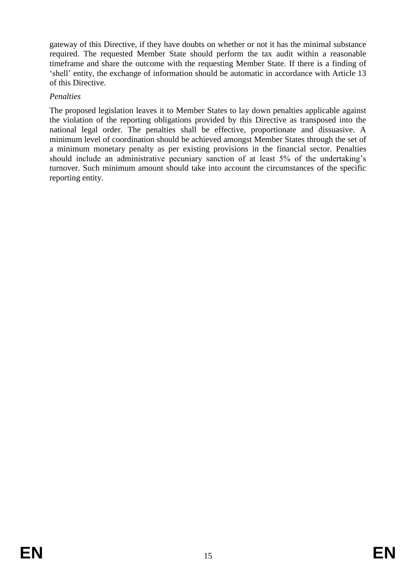gateway of this Directive, if they have doubts on whether or not it has the minimal substance required. The requested Member State should perform the tax audit within a reasonable timeframe and share the outcome with the requesting Member State. If there is a finding of 'shell' entity, the exchange of information should be automatic in accordance with Article 13 of this Directive.

## *Penalties*

The proposed legislation leaves it to Member States to lay down penalties applicable against the violation of the reporting obligations provided by this Directive as transposed into the national legal order. The penalties shall be effective, proportionate and dissuasive. A minimum level of coordination should be achieved amongst Member States through the set of a minimum monetary penalty as per existing provisions in the financial sector. Penalties should include an administrative pecuniary sanction of at least 5% of the undertaking's turnover. Such minimum amount should take into account the circumstances of the specific reporting entity.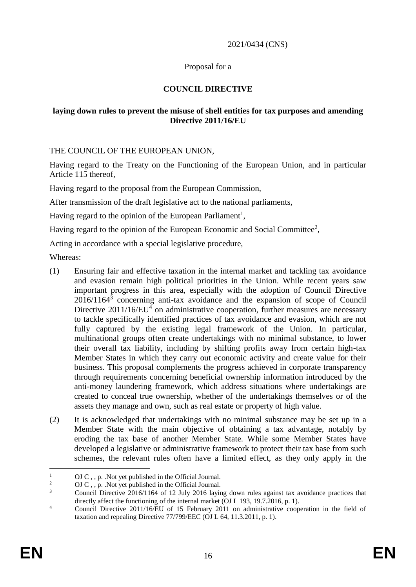#### 2021/0434 (CNS)

## Proposal for a

# **COUNCIL DIRECTIVE**

## **laying down rules to prevent the misuse of shell entities for tax purposes and amending Directive 2011/16/EU**

THE COUNCIL OF THE EUROPEAN UNION,

Having regard to the Treaty on the Functioning of the European Union, and in particular Article 115 thereof,

Having regard to the proposal from the European Commission,

After transmission of the draft legislative act to the national parliaments,

Having regard to the opinion of the European Parliament<sup>1</sup>,

Having regard to the opinion of the European Economic and Social Committee<sup>2</sup>,

Acting in accordance with a special legislative procedure,

Whereas:

- (1) Ensuring fair and effective taxation in the internal market and tackling tax avoidance and evasion remain high political priorities in the Union. While recent years saw important progress in this area, especially with the adoption of Council Directive  $2016/1164<sup>3</sup>$  concerning anti-tax avoidance and the expansion of scope of Council Directive 2011/16/EU<sup>4</sup> on administrative cooperation, further measures are necessary to tackle specifically identified practices of tax avoidance and evasion, which are not fully captured by the existing legal framework of the Union. In particular, multinational groups often create undertakings with no minimal substance, to lower their overall tax liability, including by shifting profits away from certain high-tax Member States in which they carry out economic activity and create value for their business. This proposal complements the progress achieved in corporate transparency through requirements concerning beneficial ownership information introduced by the anti-money laundering framework, which address situations where undertakings are created to conceal true ownership, whether of the undertakings themselves or of the assets they manage and own, such as real estate or property of high value.
- (2) It is acknowledged that undertakings with no minimal substance may be set up in a Member State with the main objective of obtaining a tax advantage, notably by eroding the tax base of another Member State. While some Member States have developed a legislative or administrative framework to protect their tax base from such schemes, the relevant rules often have a limited effect, as they only apply in the

 $\overline{a}$ 

<sup>&</sup>lt;sup>1</sup> OJ C , , p. . Not yet published in the Official Journal.

<sup>&</sup>lt;sup>2</sup> OJ C , , p. .Not yet published in the Official Journal.<br><sup>3</sup> Council Directive 2016/1164 of 12 July 2016 loving

<sup>3</sup> Council Directive 2016/1164 of 12 July 2016 laying down rules against tax avoidance practices that directly affect the functioning of the internal market (OJ L 193, 19.7.2016, p. 1).

<sup>&</sup>lt;sup>4</sup> Council Directive 2011/16/EU of 15 February 2011 on administrative cooperation in the field of taxation and repealing Directive 77/799/EEC (OJ L 64, 11.3.2011, p. 1).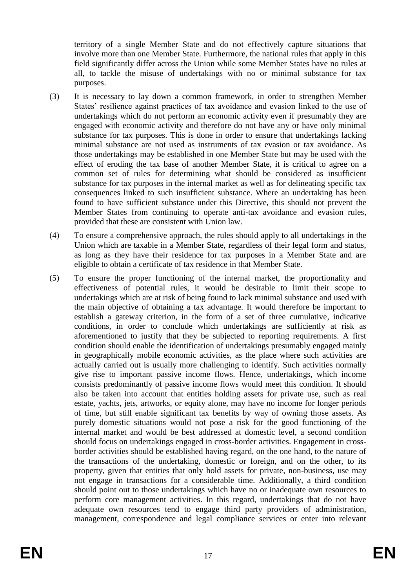territory of a single Member State and do not effectively capture situations that involve more than one Member State. Furthermore, the national rules that apply in this field significantly differ across the Union while some Member States have no rules at all, to tackle the misuse of undertakings with no or minimal substance for tax purposes.

- (3) It is necessary to lay down a common framework, in order to strengthen Member States' resilience against practices of tax avoidance and evasion linked to the use of undertakings which do not perform an economic activity even if presumably they are engaged with economic activity and therefore do not have any or have only minimal substance for tax purposes. This is done in order to ensure that undertakings lacking minimal substance are not used as instruments of tax evasion or tax avoidance. As those undertakings may be established in one Member State but may be used with the effect of eroding the tax base of another Member State, it is critical to agree on a common set of rules for determining what should be considered as insufficient substance for tax purposes in the internal market as well as for delineating specific tax consequences linked to such insufficient substance. Where an undertaking has been found to have sufficient substance under this Directive, this should not prevent the Member States from continuing to operate anti-tax avoidance and evasion rules, provided that these are consistent with Union law.
- (4) To ensure a comprehensive approach, the rules should apply to all undertakings in the Union which are taxable in a Member State, regardless of their legal form and status, as long as they have their residence for tax purposes in a Member State and are eligible to obtain a certificate of tax residence in that Member State.
- (5) To ensure the proper functioning of the internal market, the proportionality and effectiveness of potential rules, it would be desirable to limit their scope to undertakings which are at risk of being found to lack minimal substance and used with the main objective of obtaining a tax advantage. It would therefore be important to establish a gateway criterion, in the form of a set of three cumulative, indicative conditions, in order to conclude which undertakings are sufficiently at risk as aforementioned to justify that they be subjected to reporting requirements. A first condition should enable the identification of undertakings presumably engaged mainly in geographically mobile economic activities, as the place where such activities are actually carried out is usually more challenging to identify. Such activities normally give rise to important passive income flows. Hence, undertakings, which income consists predominantly of passive income flows would meet this condition. It should also be taken into account that entities holding assets for private use, such as real estate, yachts, jets, artworks, or equity alone, may have no income for longer periods of time, but still enable significant tax benefits by way of owning those assets. As purely domestic situations would not pose a risk for the good functioning of the internal market and would be best addressed at domestic level, a second condition should focus on undertakings engaged in cross-border activities. Engagement in crossborder activities should be established having regard, on the one hand, to the nature of the transactions of the undertaking, domestic or foreign, and on the other, to its property, given that entities that only hold assets for private, non-business, use may not engage in transactions for a considerable time. Additionally, a third condition should point out to those undertakings which have no or inadequate own resources to perform core management activities. In this regard, undertakings that do not have adequate own resources tend to engage third party providers of administration, management, correspondence and legal compliance services or enter into relevant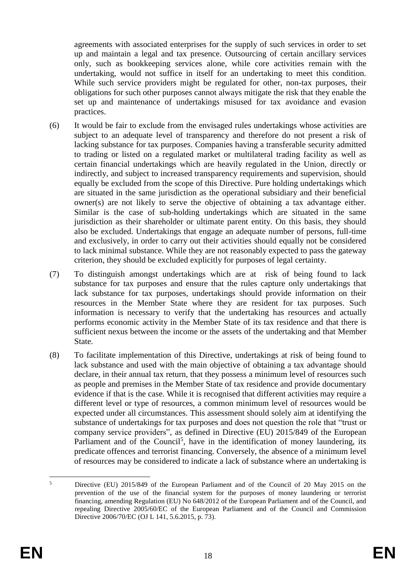agreements with associated enterprises for the supply of such services in order to set up and maintain a legal and tax presence. Outsourcing of certain ancillary services only, such as bookkeeping services alone, while core activities remain with the undertaking, would not suffice in itself for an undertaking to meet this condition. While such service providers might be regulated for other, non-tax purposes, their obligations for such other purposes cannot always mitigate the risk that they enable the set up and maintenance of undertakings misused for tax avoidance and evasion practices.

- (6) It would be fair to exclude from the envisaged rules undertakings whose activities are subject to an adequate level of transparency and therefore do not present a risk of lacking substance for tax purposes. Companies having a transferable security admitted to trading or listed on a regulated market or multilateral trading facility as well as certain financial undertakings which are heavily regulated in the Union, directly or indirectly, and subject to increased transparency requirements and supervision, should equally be excluded from the scope of this Directive. Pure holding undertakings which are situated in the same jurisdiction as the operational subsidiary and their beneficial owner(s) are not likely to serve the objective of obtaining a tax advantage either. Similar is the case of sub-holding undertakings which are situated in the same jurisdiction as their shareholder or ultimate parent entity. On this basis, they should also be excluded. Undertakings that engage an adequate number of persons, full-time and exclusively, in order to carry out their activities should equally not be considered to lack minimal substance. While they are not reasonably expected to pass the gateway criterion, they should be excluded explicitly for purposes of legal certainty.
- (7) To distinguish amongst undertakings which are at risk of being found to lack substance for tax purposes and ensure that the rules capture only undertakings that lack substance for tax purposes, undertakings should provide information on their resources in the Member State where they are resident for tax purposes. Such information is necessary to verify that the undertaking has resources and actually performs economic activity in the Member State of its tax residence and that there is sufficient nexus between the income or the assets of the undertaking and that Member State.
- (8) To facilitate implementation of this Directive, undertakings at risk of being found to lack substance and used with the main objective of obtaining a tax advantage should declare, in their annual tax return, that they possess a minimum level of resources such as people and premises in the Member State of tax residence and provide documentary evidence if that is the case. While it is recognised that different activities may require a different level or type of resources, a common minimum level of resources would be expected under all circumstances. This assessment should solely aim at identifying the substance of undertakings for tax purposes and does not question the role that "trust or company service providers", as defined in Directive (EU) 2015/849 of the European Parliament and of the Council<sup>5</sup>, have in the identification of money laundering, its predicate offences and terrorist financing. Conversely, the absence of a minimum level of resources may be considered to indicate a lack of substance where an undertaking is

 $\overline{\phantom{a}}$ <sup>5</sup> Directive (EU) 2015/849 of the European Parliament and of the Council of 20 May 2015 on the prevention of the use of the financial system for the purposes of money laundering or terrorist financing, amending Regulation (EU) No 648/2012 of the European Parliament and of the Council, and repealing Directive 2005/60/EC of the European Parliament and of the Council and Commission Directive 2006/70/EC (OJ L 141, 5.6.2015, p. 73).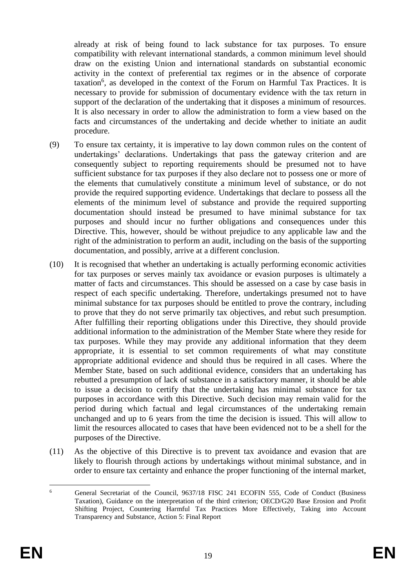already at risk of being found to lack substance for tax purposes. To ensure compatibility with relevant international standards, a common minimum level should draw on the existing Union and international standards on substantial economic activity in the context of preferential tax regimes or in the absence of corporate taxation<sup>6</sup>, as developed in the context of the Forum on Harmful Tax Practices. It is necessary to provide for submission of documentary evidence with the tax return in support of the declaration of the undertaking that it disposes a minimum of resources. It is also necessary in order to allow the administration to form a view based on the facts and circumstances of the undertaking and decide whether to initiate an audit procedure.

- (9) To ensure tax certainty, it is imperative to lay down common rules on the content of undertakings' declarations. Undertakings that pass the gateway criterion and are consequently subject to reporting requirements should be presumed not to have sufficient substance for tax purposes if they also declare not to possess one or more of the elements that cumulatively constitute a minimum level of substance, or do not provide the required supporting evidence. Undertakings that declare to possess all the elements of the minimum level of substance and provide the required supporting documentation should instead be presumed to have minimal substance for tax purposes and should incur no further obligations and consequences under this Directive. This, however, should be without prejudice to any applicable law and the right of the administration to perform an audit, including on the basis of the supporting documentation, and possibly, arrive at a different conclusion.
- (10) It is recognised that whether an undertaking is actually performing economic activities for tax purposes or serves mainly tax avoidance or evasion purposes is ultimately a matter of facts and circumstances. This should be assessed on a case by case basis in respect of each specific undertaking. Therefore, undertakings presumed not to have minimal substance for tax purposes should be entitled to prove the contrary, including to prove that they do not serve primarily tax objectives, and rebut such presumption. After fulfilling their reporting obligations under this Directive, they should provide additional information to the administration of the Member State where they reside for tax purposes. While they may provide any additional information that they deem appropriate, it is essential to set common requirements of what may constitute appropriate additional evidence and should thus be required in all cases. Where the Member State, based on such additional evidence, considers that an undertaking has rebutted a presumption of lack of substance in a satisfactory manner, it should be able to issue a decision to certify that the undertaking has minimal substance for tax purposes in accordance with this Directive. Such decision may remain valid for the period during which factual and legal circumstances of the undertaking remain unchanged and up to 6 years from the time the decision is issued. This will allow to limit the resources allocated to cases that have been evidenced not to be a shell for the purposes of the Directive.
- (11) As the objective of this Directive is to prevent tax avoidance and evasion that are likely to flourish through actions by undertakings without minimal substance, and in order to ensure tax certainty and enhance the proper functioning of the internal market,

<sup>6</sup> <sup>6</sup> General Secretariat of the Council, 9637/18 FISC 241 ECOFIN 555, Code of Conduct (Business Taxation), Guidance on the interpretation of the third criterion; OECD/G20 Base Erosion and Profit Shifting Project, Countering Harmful Tax Practices More Effectively, Taking into Account Transparency and Substance, Action 5: Final Report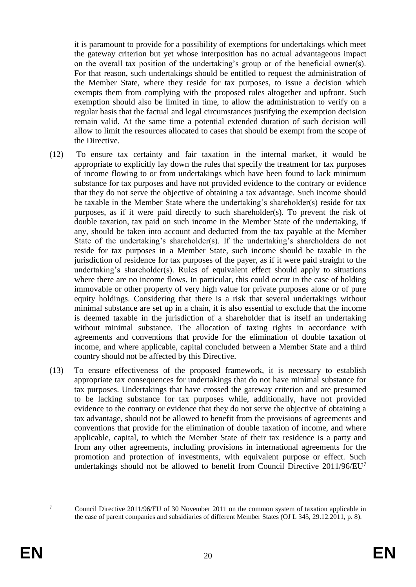it is paramount to provide for a possibility of exemptions for undertakings which meet the gateway criterion but yet whose interposition has no actual advantageous impact on the overall tax position of the undertaking's group or of the beneficial owner(s). For that reason, such undertakings should be entitled to request the administration of the Member State, where they reside for tax purposes, to issue a decision which exempts them from complying with the proposed rules altogether and upfront. Such exemption should also be limited in time, to allow the administration to verify on a regular basis that the factual and legal circumstances justifying the exemption decision remain valid. At the same time a potential extended duration of such decision will allow to limit the resources allocated to cases that should be exempt from the scope of the Directive.

- (12) To ensure tax certainty and fair taxation in the internal market, it would be appropriate to explicitly lay down the rules that specify the treatment for tax purposes of income flowing to or from undertakings which have been found to lack minimum substance for tax purposes and have not provided evidence to the contrary or evidence that they do not serve the objective of obtaining a tax advantage. Such income should be taxable in the Member State where the undertaking's shareholder(s) reside for tax purposes, as if it were paid directly to such shareholder(s). To prevent the risk of double taxation, tax paid on such income in the Member State of the undertaking, if any, should be taken into account and deducted from the tax payable at the Member State of the undertaking's shareholder(s). If the undertaking's shareholders do not reside for tax purposes in a Member State, such income should be taxable in the jurisdiction of residence for tax purposes of the payer, as if it were paid straight to the undertaking's shareholder(s). Rules of equivalent effect should apply to situations where there are no income flows. In particular, this could occur in the case of holding immovable or other property of very high value for private purposes alone or of pure equity holdings. Considering that there is a risk that several undertakings without minimal substance are set up in a chain, it is also essential to exclude that the income is deemed taxable in the jurisdiction of a shareholder that is itself an undertaking without minimal substance. The allocation of taxing rights in accordance with agreements and conventions that provide for the elimination of double taxation of income, and where applicable, capital concluded between a Member State and a third country should not be affected by this Directive.
- (13) To ensure effectiveness of the proposed framework, it is necessary to establish appropriate tax consequences for undertakings that do not have minimal substance for tax purposes. Undertakings that have crossed the gateway criterion and are presumed to be lacking substance for tax purposes while, additionally, have not provided evidence to the contrary or evidence that they do not serve the objective of obtaining a tax advantage, should not be allowed to benefit from the provisions of agreements and conventions that provide for the elimination of double taxation of income, and where applicable, capital, to which the Member State of their tax residence is a party and from any other agreements, including provisions in international agreements for the promotion and protection of investments, with equivalent purpose or effect. Such undertakings should not be allowed to benefit from Council Directive 2011/96/EU<sup>7</sup>

 $\overline{7}$ 

<sup>7</sup> Council Directive 2011/96/EU of 30 November 2011 on the common system of taxation applicable in the case of parent companies and subsidiaries of different Member States (OJ L 345, 29.12.2011, p. 8).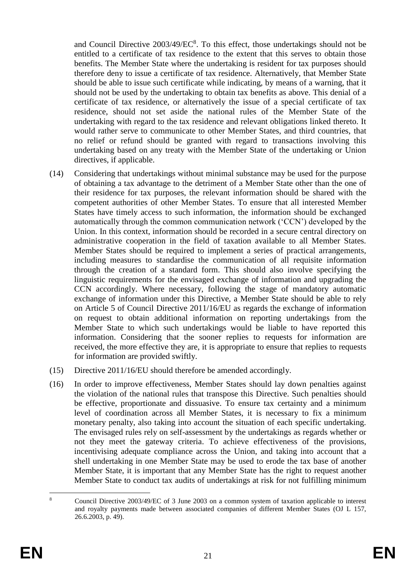and Council Directive  $2003/49/EC<sup>8</sup>$ . To this effect, those undertakings should not be entitled to a certificate of tax residence to the extent that this serves to obtain those benefits. The Member State where the undertaking is resident for tax purposes should therefore deny to issue a certificate of tax residence. Alternatively, that Member State should be able to issue such certificate while indicating, by means of a warning, that it should not be used by the undertaking to obtain tax benefits as above. This denial of a certificate of tax residence, or alternatively the issue of a special certificate of tax residence, should not set aside the national rules of the Member State of the undertaking with regard to the tax residence and relevant obligations linked thereto. It would rather serve to communicate to other Member States, and third countries, that no relief or refund should be granted with regard to transactions involving this undertaking based on any treaty with the Member State of the undertaking or Union directives, if applicable.

- (14) Considering that undertakings without minimal substance may be used for the purpose of obtaining a tax advantage to the detriment of a Member State other than the one of their residence for tax purposes, the relevant information should be shared with the competent authorities of other Member States. To ensure that all interested Member States have timely access to such information, the information should be exchanged automatically through the common communication network ('CCN') developed by the Union. In this context, information should be recorded in a secure central directory on administrative cooperation in the field of taxation available to all Member States. Member States should be required to implement a series of practical arrangements, including measures to standardise the communication of all requisite information through the creation of a standard form. This should also involve specifying the linguistic requirements for the envisaged exchange of information and upgrading the CCN accordingly. Where necessary, following the stage of mandatory automatic exchange of information under this Directive, a Member State should be able to rely on Article 5 of Council Directive 2011/16/EU as regards the exchange of information on request to obtain additional information on reporting undertakings from the Member State to which such undertakings would be liable to have reported this information. Considering that the sooner replies to requests for information are received, the more effective they are, it is appropriate to ensure that replies to requests for information are provided swiftly.
- (15) Directive 2011/16/EU should therefore be amended accordingly.
- (16) In order to improve effectiveness, Member States should lay down penalties against the violation of the national rules that transpose this Directive. Such penalties should be effective, proportionate and dissuasive. To ensure tax certainty and a minimum level of coordination across all Member States, it is necessary to fix a minimum monetary penalty, also taking into account the situation of each specific undertaking. The envisaged rules rely on self-assessment by the undertakings as regards whether or not they meet the gateway criteria. To achieve effectiveness of the provisions, incentivising adequate compliance across the Union, and taking into account that a shell undertaking in one Member State may be used to erode the tax base of another Member State, it is important that any Member State has the right to request another Member State to conduct tax audits of undertakings at risk for not fulfilling minimum

 $\overline{8}$ <sup>8</sup> Council Directive 2003/49/EC of 3 June 2003 on a common system of taxation applicable to interest and royalty payments made between associated companies of different Member States (OJ L 157, 26.6.2003, p. 49).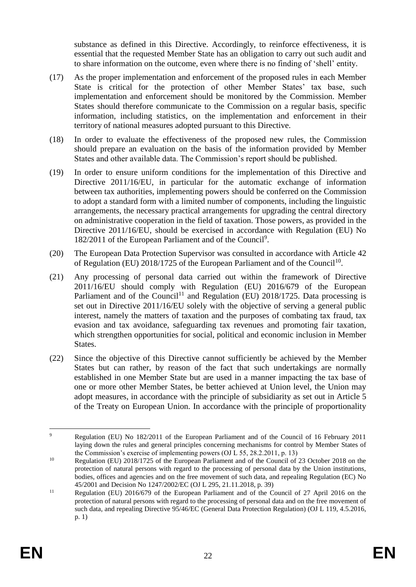substance as defined in this Directive. Accordingly, to reinforce effectiveness, it is essential that the requested Member State has an obligation to carry out such audit and to share information on the outcome, even where there is no finding of 'shell' entity.

- (17) As the proper implementation and enforcement of the proposed rules in each Member State is critical for the protection of other Member States' tax base, such implementation and enforcement should be monitored by the Commission. Member States should therefore communicate to the Commission on a regular basis, specific information, including statistics, on the implementation and enforcement in their territory of national measures adopted pursuant to this Directive.
- (18) In order to evaluate the effectiveness of the proposed new rules, the Commission should prepare an evaluation on the basis of the information provided by Member States and other available data. The Commission's report should be published.
- (19) In order to ensure uniform conditions for the implementation of this Directive and Directive 2011/16/EU, in particular for the automatic exchange of information between tax authorities, implementing powers should be conferred on the Commission to adopt a standard form with a limited number of components, including the linguistic arrangements, the necessary practical arrangements for upgrading the central directory on administrative cooperation in the field of taxation. Those powers, as provided in the Directive 2011/16/EU, should be exercised in accordance with Regulation (EU) No 182/2011 of the European Parliament and of the Council<sup>9</sup>.
- (20) The European Data Protection Supervisor was consulted in accordance with Article 42 of Regulation (EU) 2018/1725 of the European Parliament and of the Council<sup>10</sup>.
- (21) Any processing of personal data carried out within the framework of Directive 2011/16/EU should comply with Regulation (EU) 2016/679 of the European Parliament and of the Council<sup>11</sup> and Regulation (EU) 2018/1725. Data processing is set out in Directive 2011/16/EU solely with the objective of serving a general public interest, namely the matters of taxation and the purposes of combating tax fraud, tax evasion and tax avoidance, safeguarding tax revenues and promoting fair taxation, which strengthen opportunities for social, political and economic inclusion in Member States.
- (22) Since the objective of this Directive cannot sufficiently be achieved by the Member States but can rather, by reason of the fact that such undertakings are normally established in one Member State but are used in a manner impacting the tax base of one or more other Member States, be better achieved at Union level, the Union may adopt measures, in accordance with the principle of subsidiarity as set out in Article 5 of the Treaty on European Union. In accordance with the principle of proportionality

 $\mathbf{Q}$ <sup>9</sup> Regulation (EU) No 182/2011 of the European Parliament and of the Council of 16 February 2011 laying down the rules and general principles concerning mechanisms for control by Member States of the Commission's exercise of implementing powers (OJ L 55, 28.2.2011, p. 13)

<sup>&</sup>lt;sup>10</sup> Regulation (EU) 2018/1725 of the European Parliament and of the Council of 23 October 2018 on the protection of natural persons with regard to the processing of personal data by the Union institutions, bodies, offices and agencies and on the free movement of such data, and repealing Regulation (EC) No 45/2001 and Decision No 1247/2002/EC (OJ L 295, 21.11.2018, p. 39)

<sup>&</sup>lt;sup>11</sup> Regulation (EU) 2016/679 of the European Parliament and of the Council of 27 April 2016 on the protection of natural persons with regard to the processing of personal data and on the free movement of such data, and repealing Directive 95/46/EC (General Data Protection Regulation) (OJ L 119, 4.5.2016, p. 1)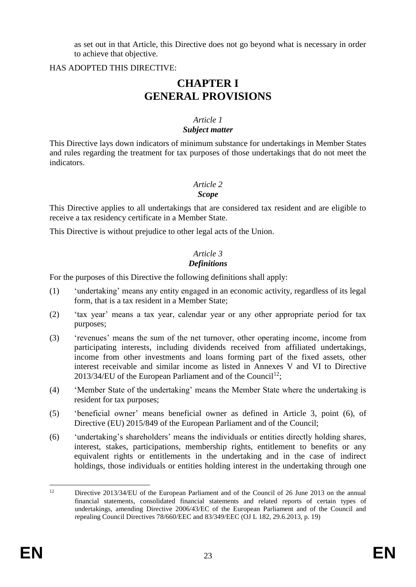as set out in that Article, this Directive does not go beyond what is necessary in order to achieve that objective.

HAS ADOPTED THIS DIRECTIVE:

# **CHAPTER I GENERAL PROVISIONS**

# *Article 1*

# *Subject matter*

This Directive lays down indicators of minimum substance for undertakings in Member States and rules regarding the treatment for tax purposes of those undertakings that do not meet the indicators.

# *Article 2*

### *Scope*

This Directive applies to all undertakings that are considered tax resident and are eligible to receive a tax residency certificate in a Member State.

This Directive is without prejudice to other legal acts of the Union.

#### *Article 3 Definitions*

For the purposes of this Directive the following definitions shall apply:

- (1) 'undertaking' means any entity engaged in an economic activity, regardless of its legal form, that is a tax resident in a Member State;
- (2) 'tax year' means a tax year, calendar year or any other appropriate period for tax purposes;
- (3) 'revenues' means the sum of the net turnover, other operating income, income from participating interests, including dividends received from affiliated undertakings, income from other investments and loans forming part of the fixed assets, other interest receivable and similar income as listed in Annexes V and VI to Directive 2013/34/EU of the European Parliament and of the Council<sup>12</sup>;
- (4) 'Member State of the undertaking' means the Member State where the undertaking is resident for tax purposes;
- (5) 'beneficial owner' means beneficial owner as defined in Article 3, point (6), of Directive (EU) 2015/849 of the European Parliament and of the Council;
- (6) 'undertaking's shareholders' means the individuals or entities directly holding shares, interest, stakes, participations, membership rights, entitlement to benefits or any equivalent rights or entitlements in the undertaking and in the case of indirect holdings, those individuals or entities holding interest in the undertaking through one

 $12<sup>12</sup>$ Directive 2013/34/EU of the European Parliament and of the Council of 26 June 2013 on the annual financial statements, consolidated financial statements and related reports of certain types of undertakings, amending Directive 2006/43/EC of the European Parliament and of the Council and repealing Council Directives 78/660/EEC and 83/349/EEC (OJ L 182, 29.6.2013, p. 19)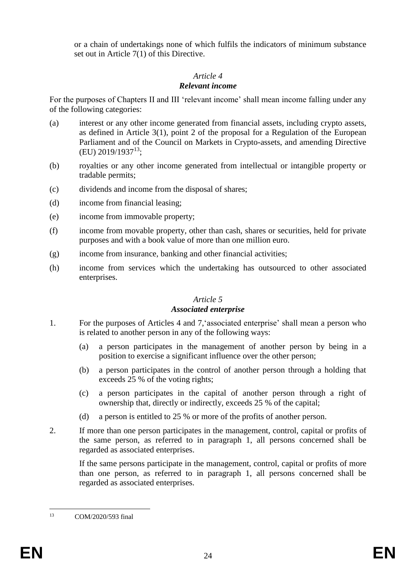or a chain of undertakings none of which fulfils the indicators of minimum substance set out in Article 7(1) of this Directive.

#### *Article 4*

## *Relevant income*

For the purposes of Chapters II and III 'relevant income' shall mean income falling under any of the following categories:

- (a) interest or any other income generated from financial assets, including crypto assets, as defined in Article 3(1), point 2 of the proposal for a Regulation of the European Parliament and of the Council on Markets in Crypto-assets, and amending Directive  $(EU)$  2019/1937<sup>13</sup>;
- (b) royalties or any other income generated from intellectual or intangible property or tradable permits;
- (c) dividends and income from the disposal of shares;
- (d) income from financial leasing;
- (e) income from immovable property;
- (f) income from movable property, other than cash, shares or securities, held for private purposes and with a book value of more than one million euro.
- (g) income from insurance, banking and other financial activities;
- (h) income from services which the undertaking has outsourced to other associated enterprises.

# *Article 5*

## *Associated enterprise*

- 1. For the purposes of Articles 4 and 7,'associated enterprise' shall mean a person who is related to another person in any of the following ways:
	- (a) a person participates in the management of another person by being in a position to exercise a significant influence over the other person;
	- (b) a person participates in the control of another person through a holding that exceeds 25 % of the voting rights;
	- (c) a person participates in the capital of another person through a right of ownership that, directly or indirectly, exceeds 25 % of the capital;
	- (d) a person is entitled to 25 % or more of the profits of another person.
- 2. If more than one person participates in the management, control, capital or profits of the same person, as referred to in paragraph 1, all persons concerned shall be regarded as associated enterprises.

If the same persons participate in the management, control, capital or profits of more than one person, as referred to in paragraph 1, all persons concerned shall be regarded as associated enterprises.

 $13$ <sup>13</sup> COM/2020/593 final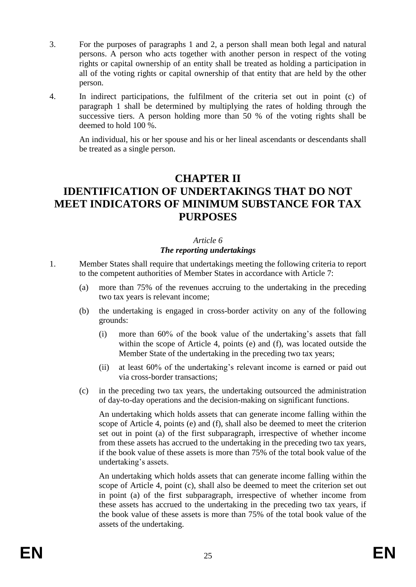- 3. For the purposes of paragraphs 1 and 2, a person shall mean both legal and natural persons. A person who acts together with another person in respect of the voting rights or capital ownership of an entity shall be treated as holding a participation in all of the voting rights or capital ownership of that entity that are held by the other person.
- 4. In indirect participations, the fulfilment of the criteria set out in point (c) of paragraph 1 shall be determined by multiplying the rates of holding through the successive tiers. A person holding more than 50 % of the voting rights shall be deemed to hold 100 %.

An individual, his or her spouse and his or her lineal ascendants or descendants shall be treated as a single person.

# **CHAPTER II IDENTIFICATION OF UNDERTAKINGS THAT DO NOT MEET INDICATORS OF MINIMUM SUBSTANCE FOR TAX PURPOSES**

#### *Article 6*

## *The reporting undertakings*

- 1. Member States shall require that undertakings meeting the following criteria to report to the competent authorities of Member States in accordance with Article 7:
	- (a) more than 75% of the revenues accruing to the undertaking in the preceding two tax years is relevant income;
	- (b) the undertaking is engaged in cross-border activity on any of the following grounds:
		- (i) more than 60% of the book value of the undertaking's assets that fall within the scope of Article 4, points (e) and (f), was located outside the Member State of the undertaking in the preceding two tax years;
		- (ii) at least 60% of the undertaking's relevant income is earned or paid out via cross-border transactions;
	- (c) in the preceding two tax years, the undertaking outsourced the administration of day-to-day operations and the decision-making on significant functions.

An undertaking which holds assets that can generate income falling within the scope of Article 4, points (e) and (f), shall also be deemed to meet the criterion set out in point (a) of the first subparagraph, irrespective of whether income from these assets has accrued to the undertaking in the preceding two tax years, if the book value of these assets is more than 75% of the total book value of the undertaking's assets.

An undertaking which holds assets that can generate income falling within the scope of Article 4, point (c), shall also be deemed to meet the criterion set out in point (a) of the first subparagraph, irrespective of whether income from these assets has accrued to the undertaking in the preceding two tax years, if the book value of these assets is more than 75% of the total book value of the assets of the undertaking.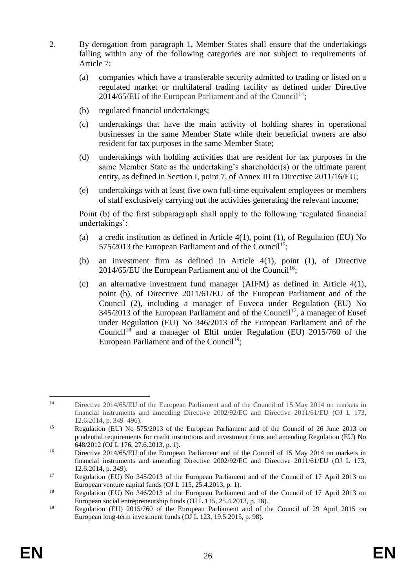- 2. By derogation from paragraph 1, Member States shall ensure that the undertakings falling within any of the following categories are not subject to requirements of Article 7:
	- (a) companies which have a transferable security admitted to trading or listed on a regulated market or multilateral trading facility as defined under Directive 2014/65/EU of the European Parliament and of the Council<sup>14</sup>;
	- (b) regulated financial undertakings;
	- (c) undertakings that have the main activity of holding shares in operational businesses in the same Member State while their beneficial owners are also resident for tax purposes in the same Member State;
	- (d) undertakings with holding activities that are resident for tax purposes in the same Member State as the undertaking's shareholder(s) or the ultimate parent entity, as defined in Section I, point 7, of Annex III to Directive 2011/16/EU;
	- (e) undertakings with at least five own full-time equivalent employees or members of staff exclusively carrying out the activities generating the relevant income;

Point (b) of the first subparagraph shall apply to the following 'regulated financial undertakings':

- (a) a credit institution as defined in Article 4(1), point (1), of Regulation (EU) No 575/2013 the European Parliament and of the Council<sup>15</sup>;
- (b) an investment firm as defined in Article 4(1), point (1), of Directive 2014/65/EU the European Parliament and of the Council<sup>16</sup>:
- (c) an alternative investment fund manager (AIFM) as defined in Article 4(1), point (b), of Directive 2011/61/EU of the European Parliament and of the Council (2), including a manager of Euveca under Regulation (EU) No  $345/2013$  of the European Parliament and of the Council<sup>17</sup>, a manager of Eusef under Regulation (EU) No 346/2013 of the European Parliament and of the Council<sup>18</sup> and a manager of Eltif under Regulation (EU)  $2015/760$  of the European Parliament and of the Council<sup>19</sup>;

 $14$ Directive 2014/65/EU of the European Parliament and of the Council of 15 May 2014 on markets in financial instruments and amending Directive 2002/92/EC and Directive 2011/61/EU (OJ L 173, 12.6.2014, p. 349–496).

<sup>&</sup>lt;sup>15</sup> Regulation (EU) No 575/2013 of the European Parliament and of the Council of 26 June 2013 on prudential requirements for credit institutions and investment firms and amending Regulation (EU) No 648/2012 (OJ L 176, 27.6.2013, p. 1).

<sup>&</sup>lt;sup>16</sup> Directive 2014/65/EU of the European Parliament and of the Council of 15 May 2014 on markets in financial instruments and amending Directive 2002/92/EC and Directive 2011/61/EU (OJ L 173, 12.6.2014, p. 349).

<sup>&</sup>lt;sup>17</sup> Regulation (EU) No 345/2013 of the European Parliament and of the Council of 17 April 2013 on European venture capital funds (OJ L 115, 25.4.2013, p. 1).

<sup>&</sup>lt;sup>18</sup> Regulation (EU) No 346/2013 of the European Parliament and of the Council of 17 April 2013 on European social entrepreneurship funds (OJ L 115, 25.4.2013, p. 18).

<sup>19</sup> Regulation (EU) 2015/760 of the European Parliament and of the Council of 29 April 2015 on European long-term investment funds (OJ L 123, 19.5.2015, p. 98).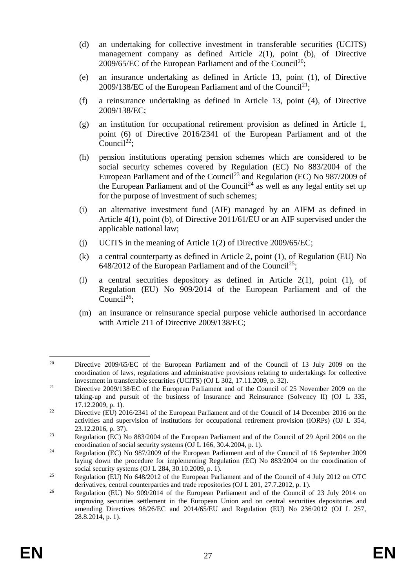- (d) an undertaking for collective investment in transferable securities (UCITS) management company as defined Article 2(1), point (b), of Directive 2009/65/EC of the European Parliament and of the Council<sup>20</sup>;
- (e) an insurance undertaking as defined in Article 13, point (1), of Directive 2009/138/EC of the European Parliament and of the Council<sup>21</sup>;
- (f) a reinsurance undertaking as defined in Article 13, point (4), of Directive 2009/138/EC;
- (g) an institution for occupational retirement provision as defined in Article 1, point (6) of Directive 2016/2341 of the European Parliament and of the Council<sup>22</sup>:
- (h) pension institutions operating pension schemes which are considered to be social security schemes covered by Regulation (EC) No 883/2004 of the European Parliament and of the Council<sup>23</sup> and Regulation (EC) No 987/2009 of the European Parliament and of the Council<sup>24</sup> as well as any legal entity set up for the purpose of investment of such schemes;
- (i) an alternative investment fund (AIF) managed by an AIFM as defined in Article 4(1), point (b), of Directive 2011/61/EU or an AIF supervised under the applicable national law;
- (j) UCITS in the meaning of Article 1(2) of Directive 2009/65/EC;
- (k) a central counterparty as defined in Article 2, point (1), of Regulation (EU) No 648/2012 of the European Parliament and of the Council<sup>25</sup>;
- (l) a central securities depository as defined in Article 2(1), point (1), of Regulation (EU) No 909/2014 of the European Parliament and of the Council<sup>26</sup>:
- (m) an insurance or reinsurance special purpose vehicle authorised in accordance with Article 211 of Directive 2009/138/EC;

<sup>20</sup> <sup>20</sup> Directive 2009/65/EC of the European Parliament and of the Council of 13 July 2009 on the coordination of laws, regulations and administrative provisions relating to undertakings for collective investment in transferable securities (UCITS) (OJ L 302, 17.11.2009, p. 32).

<sup>&</sup>lt;sup>21</sup> Directive 2009/138/EC of the European Parliament and of the Council of 25 November 2009 on the taking-up and pursuit of the business of Insurance and Reinsurance (Solvency II) (OJ L 335, 17.12.2009, p. 1).

<sup>&</sup>lt;sup>22</sup> Directive (EU) 2016/2341 of the European Parliament and of the Council of 14 December 2016 on the activities and supervision of institutions for occupational retirement provision (IORPs) (OJ L 354, 23.12.2016, p. 37).

<sup>&</sup>lt;sup>23</sup> Regulation (EC) No 883/2004 of the European Parliament and of the Council of 29 April 2004 on the coordination of social security systems (OJ L 166, 30.4.2004, p. 1).

<sup>&</sup>lt;sup>24</sup> Regulation (EC) No 987/2009 of the European Parliament and of the Council of 16 September 2009 laying down the procedure for implementing Regulation (EC) No 883/2004 on the coordination of social security systems (OJ L 284, 30.10.2009, p. 1).

<sup>&</sup>lt;sup>25</sup> Regulation (EU) No 648/2012 of the European Parliament and of the Council of 4 July 2012 on OTC derivatives, central counterparties and trade repositories (OJ L 201, 27.7.2012, p. 1).

<sup>&</sup>lt;sup>26</sup> Regulation (EU) No 909/2014 of the European Parliament and of the Council of 23 July 2014 on improving securities settlement in the European Union and on central securities depositories and amending Directives 98/26/EC and 2014/65/EU and Regulation (EU) No 236/2012 (OJ L 257, 28.8.2014, p. 1).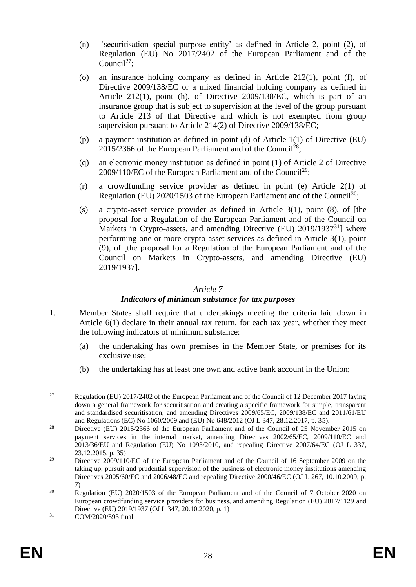- (n) 'securitisation special purpose entity' as defined in Article 2, point (2), of Regulation (EU) No 2017/2402 of the European Parliament and of the Council<sup>27</sup>:
- (o) an insurance holding company as defined in Article 212(1), point (f), of Directive 2009/138/EC or a mixed financial holding company as defined in Article 212(1), point (h), of Directive 2009/138/EC, which is part of an insurance group that is subject to supervision at the level of the group pursuant to Article 213 of that Directive and which is not exempted from group supervision pursuant to Article 214(2) of Directive 2009/138/EC;
- (p) a payment institution as defined in point (d) of Article 1(1) of Directive (EU) 2015/2366 of the European Parliament and of the Council<sup>28</sup>:
- (q) an electronic money institution as defined in point (1) of Article 2 of Directive  $2009/110$ /EC of the European Parliament and of the Council<sup>29</sup>;
- (r) a crowdfunding service provider as defined in point (e) Article 2(1) of Regulation (EU)  $2020/1503$  of the European Parliament and of the Council<sup>30</sup>;
- (s) a crypto-asset service provider as defined in Article 3(1), point (8), of [the proposal for a Regulation of the European Parliament and of the Council on Markets in Crypto-assets, and amending Directive (EU) 2019/1937<sup>31</sup>] where performing one or more crypto-asset services as defined in Article 3(1), point (9), of [the proposal for a Regulation of the European Parliament and of the Council on Markets in Crypto-assets, and amending Directive (EU) 2019/1937].

#### *Article 7*

#### *Indicators of minimum substance for tax purposes*

- 1. Member States shall require that undertakings meeting the criteria laid down in Article 6(1) declare in their annual tax return, for each tax year, whether they meet the following indicators of minimum substance:
	- (a) the undertaking has own premises in the Member State, or premises for its exclusive use;
	- (b) the undertaking has at least one own and active bank account in the Union;

<sup>27</sup> <sup>27</sup> Regulation (EU) 2017/2402 of the European Parliament and of the Council of 12 December 2017 laying down a general framework for securitisation and creating a specific framework for simple, transparent and standardised securitisation, and amending Directives 2009/65/EC, 2009/138/EC and 2011/61/EU and Regulations (EC) No 1060/2009 and (EU) No 648/2012 (OJ L 347, 28.12.2017, p. 35).

<sup>&</sup>lt;sup>28</sup> Directive (EU) 2015/2366 of the European Parliament and of the Council of 25 November 2015 on payment services in the internal market, amending Directives 2002/65/EC, 2009/110/EC and 2013/36/EU and Regulation (EU) No 1093/2010, and repealing Directive 2007/64/EC (OJ L 337, 23.12.2015, p. 35)

<sup>&</sup>lt;sup>29</sup> Directive 2009/110/EC of the European Parliament and of the Council of 16 September 2009 on the taking up, pursuit and prudential supervision of the business of electronic money institutions amending Directives 2005/60/EC and 2006/48/EC and repealing Directive 2000/46/EC (OJ L 267, 10.10.2009, p. 7)

<sup>&</sup>lt;sup>30</sup> Regulation (EU) 2020/1503 of the European Parliament and of the Council of 7 October 2020 on European crowdfunding service providers for business, and amending Regulation (EU) 2017/1129 and Directive (EU) 2019/1937 (OJ L 347, 20.10.2020, p. 1)

<sup>31</sup> COM/2020/593 final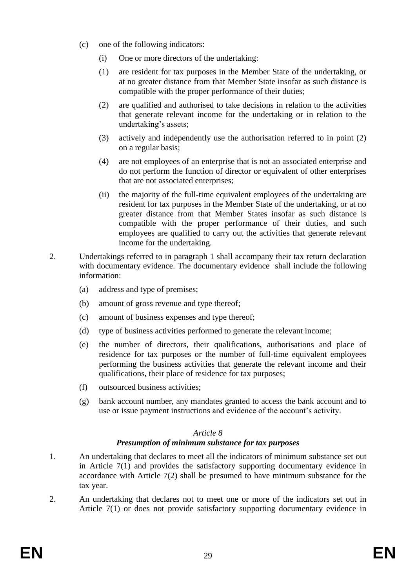- (c) one of the following indicators:
	- (i) One or more directors of the undertaking:
	- (1) are resident for tax purposes in the Member State of the undertaking, or at no greater distance from that Member State insofar as such distance is compatible with the proper performance of their duties;
	- (2) are qualified and authorised to take decisions in relation to the activities that generate relevant income for the undertaking or in relation to the undertaking's assets;
	- (3) actively and independently use the authorisation referred to in point (2) on a regular basis;
	- (4) are not employees of an enterprise that is not an associated enterprise and do not perform the function of director or equivalent of other enterprises that are not associated enterprises;
	- (ii) the majority of the full-time equivalent employees of the undertaking are resident for tax purposes in the Member State of the undertaking, or at no greater distance from that Member States insofar as such distance is compatible with the proper performance of their duties, and such employees are qualified to carry out the activities that generate relevant income for the undertaking.
- 2. Undertakings referred to in paragraph 1 shall accompany their tax return declaration with documentary evidence. The documentary evidence shall include the following information:
	- (a) address and type of premises;
	- (b) amount of gross revenue and type thereof;
	- (c) amount of business expenses and type thereof;
	- (d) type of business activities performed to generate the relevant income;
	- (e) the number of directors, their qualifications, authorisations and place of residence for tax purposes or the number of full-time equivalent employees performing the business activities that generate the relevant income and their qualifications, their place of residence for tax purposes;
	- (f) outsourced business activities;
	- (g) bank account number, any mandates granted to access the bank account and to use or issue payment instructions and evidence of the account's activity.

# *Article 8*

# *Presumption of minimum substance for tax purposes*

- 1. An undertaking that declares to meet all the indicators of minimum substance set out in Article 7(1) and provides the satisfactory supporting documentary evidence in accordance with Article 7(2) shall be presumed to have minimum substance for the tax year.
- 2. An undertaking that declares not to meet one or more of the indicators set out in Article 7(1) or does not provide satisfactory supporting documentary evidence in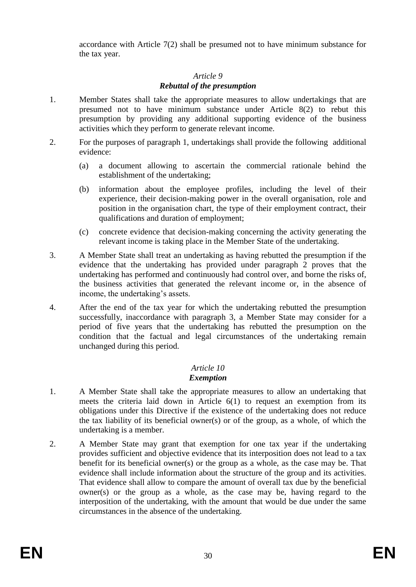accordance with Article 7(2) shall be presumed not to have minimum substance for the tax year.

## *Article 9*

## *Rebuttal of the presumption*

- 1. Member States shall take the appropriate measures to allow undertakings that are presumed not to have minimum substance under Article 8(2) to rebut this presumption by providing any additional supporting evidence of the business activities which they perform to generate relevant income.
- 2. For the purposes of paragraph 1, undertakings shall provide the following additional evidence:
	- (a) a document allowing to ascertain the commercial rationale behind the establishment of the undertaking;
	- (b) information about the employee profiles, including the level of their experience, their decision-making power in the overall organisation, role and position in the organisation chart, the type of their employment contract, their qualifications and duration of employment;
	- (c) concrete evidence that decision-making concerning the activity generating the relevant income is taking place in the Member State of the undertaking.
- 3. A Member State shall treat an undertaking as having rebutted the presumption if the evidence that the undertaking has provided under paragraph 2 proves that the undertaking has performed and continuously had control over, and borne the risks of, the business activities that generated the relevant income or, in the absence of income, the undertaking's assets.
- 4. After the end of the tax year for which the undertaking rebutted the presumption successfully, inaccordance with paragraph 3, a Member State may consider for a period of five years that the undertaking has rebutted the presumption on the condition that the factual and legal circumstances of the undertaking remain unchanged during this period.

#### *Article 10 Exemption*

- 1. A Member State shall take the appropriate measures to allow an undertaking that meets the criteria laid down in Article 6(1) to request an exemption from its obligations under this Directive if the existence of the undertaking does not reduce the tax liability of its beneficial owner(s) or of the group, as a whole, of which the undertaking is a member.
- 2. A Member State may grant that exemption for one tax year if the undertaking provides sufficient and objective evidence that its interposition does not lead to a tax benefit for its beneficial owner(s) or the group as a whole, as the case may be. That evidence shall include information about the structure of the group and its activities. That evidence shall allow to compare the amount of overall tax due by the beneficial owner(s) or the group as a whole, as the case may be, having regard to the interposition of the undertaking, with the amount that would be due under the same circumstances in the absence of the undertaking.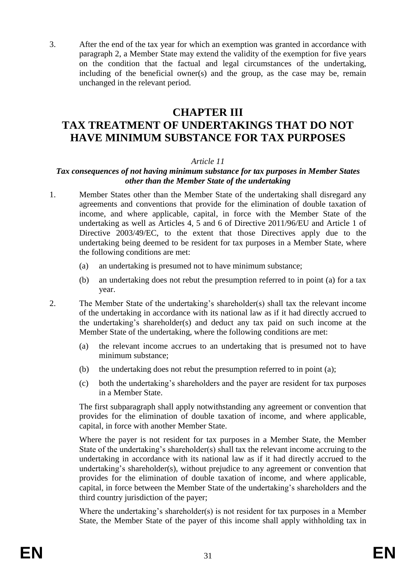3. After the end of the tax year for which an exemption was granted in accordance with paragraph 2, a Member State may extend the validity of the exemption for five years on the condition that the factual and legal circumstances of the undertaking, including of the beneficial owner(s) and the group, as the case may be, remain unchanged in the relevant period.

# **CHAPTER III**

# **TAX TREATMENT OF UNDERTAKINGS THAT DO NOT HAVE MINIMUM SUBSTANCE FOR TAX PURPOSES**

#### *Article 11*

#### *Tax consequences of not having minimum substance for tax purposes in Member States other than the Member State of the undertaking*

- 1. Member States other than the Member State of the undertaking shall disregard any agreements and conventions that provide for the elimination of double taxation of income, and where applicable, capital, in force with the Member State of the undertaking as well as Articles 4, 5 and 6 of Directive 2011/96/EU and Article 1 of Directive 2003/49/EC, to the extent that those Directives apply due to the undertaking being deemed to be resident for tax purposes in a Member State, where the following conditions are met:
	- (a) an undertaking is presumed not to have minimum substance;
	- (b) an undertaking does not rebut the presumption referred to in point (a) for a tax year.
- 2. The Member State of the undertaking's shareholder(s) shall tax the relevant income of the undertaking in accordance with its national law as if it had directly accrued to the undertaking's shareholder(s) and deduct any tax paid on such income at the Member State of the undertaking, where the following conditions are met:
	- (a) the relevant income accrues to an undertaking that is presumed not to have minimum substance;
	- (b) the undertaking does not rebut the presumption referred to in point (a);
	- (c) both the undertaking's shareholders and the payer are resident for tax purposes in a Member State.

The first subparagraph shall apply notwithstanding any agreement or convention that provides for the elimination of double taxation of income, and where applicable, capital, in force with another Member State.

Where the payer is not resident for tax purposes in a Member State, the Member State of the undertaking's shareholder(s) shall tax the relevant income accruing to the undertaking in accordance with its national law as if it had directly accrued to the undertaking's shareholder(s), without prejudice to any agreement or convention that provides for the elimination of double taxation of income, and where applicable, capital, in force between the Member State of the undertaking's shareholders and the third country jurisdiction of the payer;

Where the undertaking's shareholder(s) is not resident for tax purposes in a Member State, the Member State of the payer of this income shall apply withholding tax in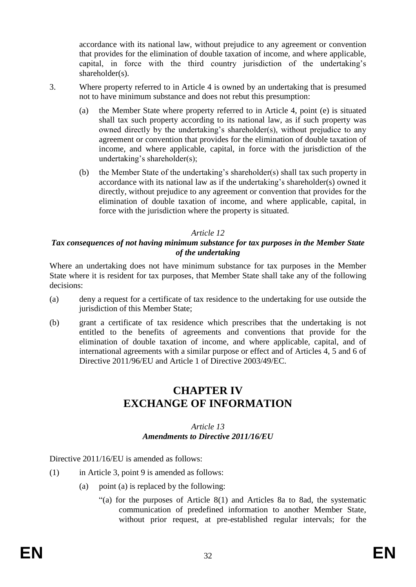accordance with its national law, without prejudice to any agreement or convention that provides for the elimination of double taxation of income, and where applicable, capital, in force with the third country jurisdiction of the undertaking's shareholder(s).

- 3. Where property referred to in Article 4 is owned by an undertaking that is presumed not to have minimum substance and does not rebut this presumption:
	- (a) the Member State where property referred to in Article 4, point (e) is situated shall tax such property according to its national law, as if such property was owned directly by the undertaking's shareholder(s), without prejudice to any agreement or convention that provides for the elimination of double taxation of income, and where applicable, capital, in force with the jurisdiction of the undertaking's shareholder(s);
	- (b) the Member State of the undertaking's shareholder(s) shall tax such property in accordance with its national law as if the undertaking's shareholder(s) owned it directly, without prejudice to any agreement or convention that provides for the elimination of double taxation of income, and where applicable, capital, in force with the jurisdiction where the property is situated.

# *Article 12*

# *Tax consequences of not having minimum substance for tax purposes in the Member State of the undertaking*

Where an undertaking does not have minimum substance for tax purposes in the Member State where it is resident for tax purposes, that Member State shall take any of the following decisions:

- (a) deny a request for a certificate of tax residence to the undertaking for use outside the jurisdiction of this Member State;
- (b) grant a certificate of tax residence which prescribes that the undertaking is not entitled to the benefits of agreements and conventions that provide for the elimination of double taxation of income, and where applicable, capital, and of international agreements with a similar purpose or effect and of Articles 4, 5 and 6 of Directive 2011/96/EU and Article 1 of Directive 2003/49/EC.

# **CHAPTER IV EXCHANGE OF INFORMATION**

#### *Article 13 Amendments to Directive 2011/16/EU*

Directive 2011/16/EU is amended as follows:

- (1) in Article 3, point 9 is amended as follows:
	- (a) point (a) is replaced by the following:
		- "(a) for the purposes of Article  $8(1)$  and Articles 8a to 8ad, the systematic communication of predefined information to another Member State, without prior request, at pre-established regular intervals; for the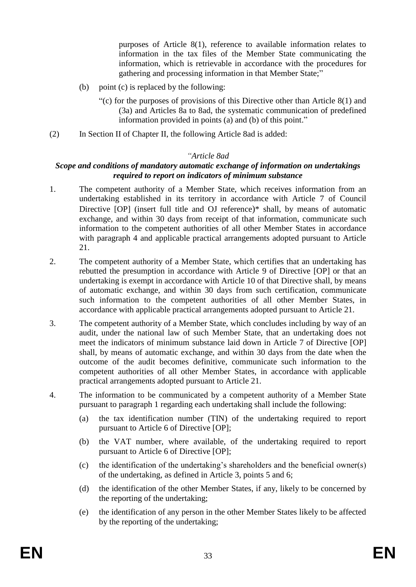purposes of Article 8(1), reference to available information relates to information in the tax files of the Member State communicating the information, which is retrievable in accordance with the procedures for gathering and processing information in that Member State;"

- (b) point (c) is replaced by the following:
	- "(c) for the purposes of provisions of this Directive other than Article 8(1) and (3a) and Articles 8a to 8ad, the systematic communication of predefined information provided in points (a) and (b) of this point."
- (2) In Section II of Chapter II, the following Article 8ad is added:

#### *"Article 8ad*

#### *Scope and conditions of mandatory automatic exchange of information on undertakings required to report on indicators of minimum substance*

- 1. The competent authority of a Member State, which receives information from an undertaking established in its territory in accordance with Article 7 of Council Directive [OP] (insert full title and OJ reference)\* shall, by means of automatic exchange, and within 30 days from receipt of that information, communicate such information to the competent authorities of all other Member States in accordance with paragraph 4 and applicable practical arrangements adopted pursuant to Article 21.
- 2. The competent authority of a Member State, which certifies that an undertaking has rebutted the presumption in accordance with Article 9 of Directive [OP] or that an undertaking is exempt in accordance with Article 10 of that Directive shall, by means of automatic exchange, and within 30 days from such certification, communicate such information to the competent authorities of all other Member States, in accordance with applicable practical arrangements adopted pursuant to Article 21.
- 3. The competent authority of a Member State, which concludes including by way of an audit, under the national law of such Member State, that an undertaking does not meet the indicators of minimum substance laid down in Article 7 of Directive [OP] shall, by means of automatic exchange, and within 30 days from the date when the outcome of the audit becomes definitive, communicate such information to the competent authorities of all other Member States, in accordance with applicable practical arrangements adopted pursuant to Article 21.
- 4. The information to be communicated by a competent authority of a Member State pursuant to paragraph 1 regarding each undertaking shall include the following:
	- (a) the tax identification number (TIN) of the undertaking required to report pursuant to Article 6 of Directive [OP];
	- (b) the VAT number, where available, of the undertaking required to report pursuant to Article 6 of Directive [OP];
	- (c) the identification of the undertaking's shareholders and the beneficial owner(s) of the undertaking, as defined in Article 3, points 5 and 6;
	- (d) the identification of the other Member States, if any, likely to be concerned by the reporting of the undertaking;
	- (e) the identification of any person in the other Member States likely to be affected by the reporting of the undertaking;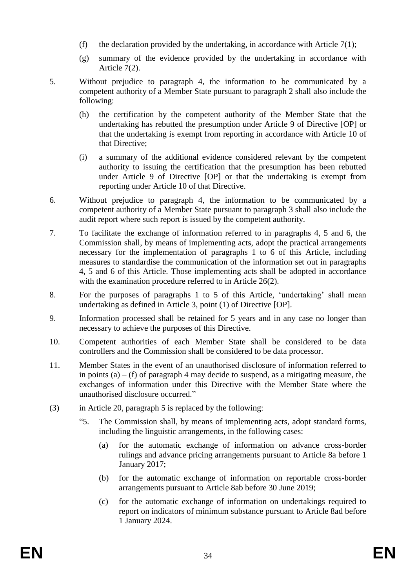- (f) the declaration provided by the undertaking, in accordance with Article 7(1);
- (g) summary of the evidence provided by the undertaking in accordance with Article 7(2).
- 5. Without prejudice to paragraph 4, the information to be communicated by a competent authority of a Member State pursuant to paragraph 2 shall also include the following:
	- (h) the certification by the competent authority of the Member State that the undertaking has rebutted the presumption under Article 9 of Directive [OP] or that the undertaking is exempt from reporting in accordance with Article 10 of that Directive;
	- (i) a summary of the additional evidence considered relevant by the competent authority to issuing the certification that the presumption has been rebutted under Article 9 of Directive [OP] or that the undertaking is exempt from reporting under Article 10 of that Directive.
- 6. Without prejudice to paragraph 4, the information to be communicated by a competent authority of a Member State pursuant to paragraph 3 shall also include the audit report where such report is issued by the competent authority.
- 7. To facilitate the exchange of information referred to in paragraphs 4, 5 and 6, the Commission shall, by means of implementing acts, adopt the practical arrangements necessary for the implementation of paragraphs 1 to 6 of this Article, including measures to standardise the communication of the information set out in paragraphs 4, 5 and 6 of this Article. Those implementing acts shall be adopted in accordance with the examination procedure referred to in Article 26(2).
- 8. For the purposes of paragraphs 1 to 5 of this Article, 'undertaking' shall mean undertaking as defined in Article 3, point (1) of Directive [OP].
- 9. Information processed shall be retained for 5 years and in any case no longer than necessary to achieve the purposes of this Directive.
- 10. Competent authorities of each Member State shall be considered to be data controllers and the Commission shall be considered to be data processor.
- 11. Member States in the event of an unauthorised disclosure of information referred to in points  $(a) - (f)$  of paragraph 4 may decide to suspend, as a mitigating measure, the exchanges of information under this Directive with the Member State where the unauthorised disclosure occurred."
- (3) in Article 20, paragraph 5 is replaced by the following:
	- "5. The Commission shall, by means of implementing acts, adopt standard forms, including the linguistic arrangements, in the following cases:
		- (a) for the automatic exchange of information on advance cross-border rulings and advance pricing arrangements pursuant to Article 8a before 1 January 2017;
		- (b) for the automatic exchange of information on reportable cross-border arrangements pursuant to Article 8ab before 30 June 2019;
		- (c) for the automatic exchange of information on undertakings required to report on indicators of minimum substance pursuant to Article 8ad before 1 January 2024.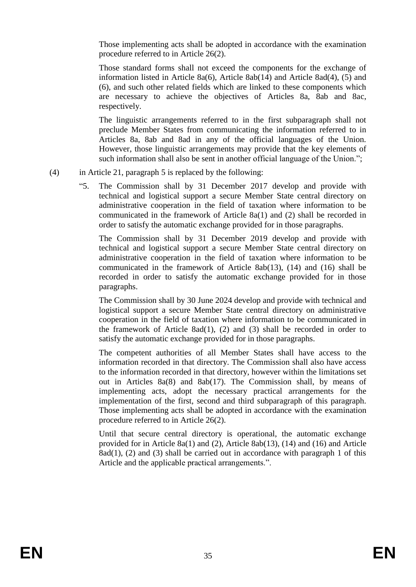Those implementing acts shall be adopted in accordance with the examination procedure referred to in Article 26(2).

Those standard forms shall not exceed the components for the exchange of information listed in Article 8a(6), Article 8ab(14) and Article 8ad(4),  $(5)$  and (6), and such other related fields which are linked to these components which are necessary to achieve the objectives of Articles 8a, 8ab and 8ac, respectively.

The linguistic arrangements referred to in the first subparagraph shall not preclude Member States from communicating the information referred to in Articles 8a, 8ab and 8ad in any of the official languages of the Union. However, those linguistic arrangements may provide that the key elements of such information shall also be sent in another official language of the Union.";

- (4) in Article 21, paragraph 5 is replaced by the following:
	- "5. The Commission shall by 31 December 2017 develop and provide with technical and logistical support a secure Member State central directory on administrative cooperation in the field of taxation where information to be communicated in the framework of Article 8a(1) and (2) shall be recorded in order to satisfy the automatic exchange provided for in those paragraphs.

The Commission shall by 31 December 2019 develop and provide with technical and logistical support a secure Member State central directory on administrative cooperation in the field of taxation where information to be communicated in the framework of Article 8ab(13), (14) and (16) shall be recorded in order to satisfy the automatic exchange provided for in those paragraphs.

The Commission shall by 30 June 2024 develop and provide with technical and logistical support a secure Member State central directory on administrative cooperation in the field of taxation where information to be communicated in the framework of Article 8ad(1), (2) and (3) shall be recorded in order to satisfy the automatic exchange provided for in those paragraphs.

The competent authorities of all Member States shall have access to the information recorded in that directory. The Commission shall also have access to the information recorded in that directory, however within the limitations set out in Articles 8a(8) and 8ab(17). The Commission shall, by means of implementing acts, adopt the necessary practical arrangements for the implementation of the first, second and third subparagraph of this paragraph. Those implementing acts shall be adopted in accordance with the examination procedure referred to in Article 26(2).

Until that secure central directory is operational, the automatic exchange provided for in Article 8a(1) and (2), Article 8ab(13), (14) and (16) and Article  $8ad(1)$ , (2) and (3) shall be carried out in accordance with paragraph 1 of this Article and the applicable practical arrangements.".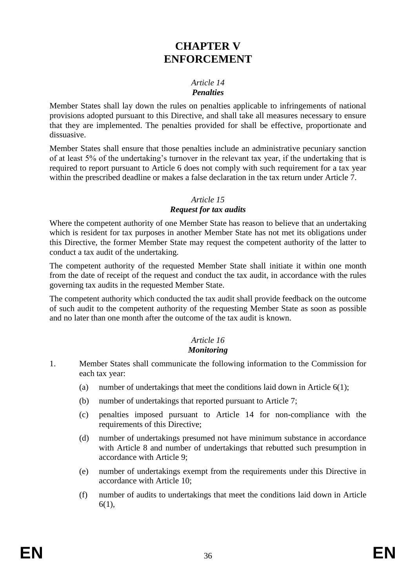# **CHAPTER V ENFORCEMENT**

### *Article 14 Penalties*

Member States shall lay down the rules on penalties applicable to infringements of national provisions adopted pursuant to this Directive, and shall take all measures necessary to ensure that they are implemented. The penalties provided for shall be effective, proportionate and dissuasive.

Member States shall ensure that those penalties include an administrative pecuniary sanction of at least 5% of the undertaking's turnover in the relevant tax year, if the undertaking that is required to report pursuant to Article 6 does not comply with such requirement for a tax year within the prescribed deadline or makes a false declaration in the tax return under Article 7.

#### *Article 15*

## *Request for tax audits*

Where the competent authority of one Member State has reason to believe that an undertaking which is resident for tax purposes in another Member State has not met its obligations under this Directive, the former Member State may request the competent authority of the latter to conduct a tax audit of the undertaking.

The competent authority of the requested Member State shall initiate it within one month from the date of receipt of the request and conduct the tax audit, in accordance with the rules governing tax audits in the requested Member State.

The competent authority which conducted the tax audit shall provide feedback on the outcome of such audit to the competent authority of the requesting Member State as soon as possible and no later than one month after the outcome of the tax audit is known.

# *Article 16*

# *Monitoring*

- 1. Member States shall communicate the following information to the Commission for each tax year:
	- (a) number of undertakings that meet the conditions laid down in Article  $6(1)$ ;
	- (b) number of undertakings that reported pursuant to Article 7;
	- (c) penalties imposed pursuant to Article 14 for non-compliance with the requirements of this Directive;
	- (d) number of undertakings presumed not have minimum substance in accordance with Article 8 and number of undertakings that rebutted such presumption in accordance with Article 9;
	- (e) number of undertakings exempt from the requirements under this Directive in accordance with Article 10;
	- (f) number of audits to undertakings that meet the conditions laid down in Article 6(1),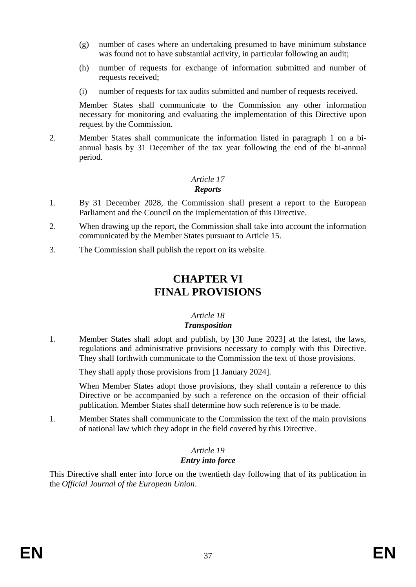- (g) number of cases where an undertaking presumed to have minimum substance was found not to have substantial activity, in particular following an audit;
- (h) number of requests for exchange of information submitted and number of requests received;
- (i) number of requests for tax audits submitted and number of requests received.

Member States shall communicate to the Commission any other information necessary for monitoring and evaluating the implementation of this Directive upon request by the Commission.

2. Member States shall communicate the information listed in paragraph 1 on a biannual basis by 31 December of the tax year following the end of the bi-annual period.

# *Article 17 Reports*

- 1. By 31 December 2028, the Commission shall present a report to the European Parliament and the Council on the implementation of this Directive.
- 2. When drawing up the report, the Commission shall take into account the information communicated by the Member States pursuant to Article 15.
- 3. The Commission shall publish the report on its website.

# **CHAPTER VI FINAL PROVISIONS**

#### *Article 18 Transposition*

1. Member States shall adopt and publish, by [30 June 2023] at the latest, the laws, regulations and administrative provisions necessary to comply with this Directive. They shall forthwith communicate to the Commission the text of those provisions.

They shall apply those provisions from [1 January 2024].

When Member States adopt those provisions, they shall contain a reference to this Directive or be accompanied by such a reference on the occasion of their official publication. Member States shall determine how such reference is to be made.

1. Member States shall communicate to the Commission the text of the main provisions of national law which they adopt in the field covered by this Directive.

# *Article 19 Entry into force*

This Directive shall enter into force on the twentieth day following that of its publication in the *Official Journal of the European Union*.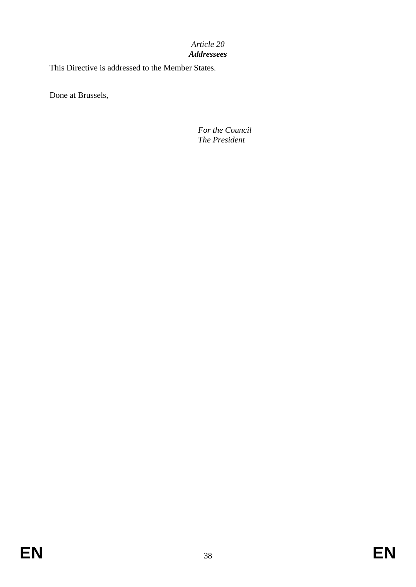#### *Article 20 Addressees*

This Directive is addressed to the Member States.

Done at Brussels,

*For the Council The President*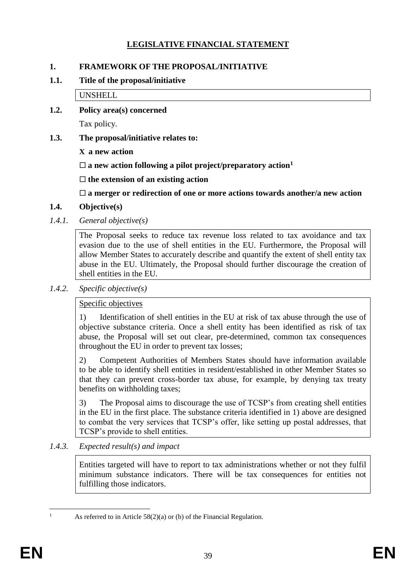# **LEGISLATIVE FINANCIAL STATEMENT**

## **1. FRAMEWORK OF THE PROPOSAL/INITIATIVE**

## **1.1. Title of the proposal/initiative**

UNSHELL

**1.2. Policy area(s) concerned**

Tax policy.

## **1.3. The proposal/initiative relates to:**

**X a new action**

 $\square$  a new action following a pilot project/preparatory action<sup>1</sup>

**the extension of an existing action**

**a merger or redirection of one or more actions towards another/a new action**

- **1.4. Objective(s)**
- *1.4.1. General objective(s)*

The Proposal seeks to reduce tax revenue loss related to tax avoidance and tax evasion due to the use of shell entities in the EU. Furthermore, the Proposal will allow Member States to accurately describe and quantify the extent of shell entity tax abuse in the EU. Ultimately, the Proposal should further discourage the creation of shell entities in the EU.

## *1.4.2. Specific objective(s)*

# Specific objectives

1) Identification of shell entities in the EU at risk of tax abuse through the use of objective substance criteria. Once a shell entity has been identified as risk of tax abuse, the Proposal will set out clear, pre-determined, common tax consequences throughout the EU in order to prevent tax losses;

2) Competent Authorities of Members States should have information available to be able to identify shell entities in resident/established in other Member States so that they can prevent cross-border tax abuse, for example, by denying tax treaty benefits on withholding taxes;

3) The Proposal aims to discourage the use of TCSP's from creating shell entities in the EU in the first place. The substance criteria identified in 1) above are designed to combat the very services that TCSP's offer, like setting up postal addresses, that TCSP's provide to shell entities.

# *1.4.3. Expected result(s) and impact*

Entities targeted will have to report to tax administrations whether or not they fulfil minimum substance indicators. There will be tax consequences for entities not fulfilling those indicators.

 $\overline{a}$ 

As referred to in Article  $58(2)(a)$  or (b) of the Financial Regulation.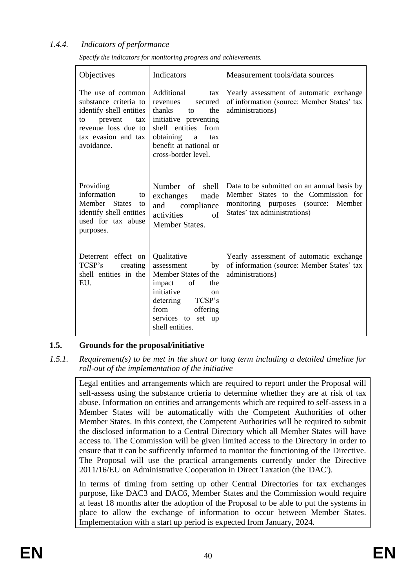# *1.4.4. Indicators of performance*

| Objectives                                                                                                                                                | Indicators                                                                                                                                                                                        | Measurement tools/data sources                                                                                                                              |
|-----------------------------------------------------------------------------------------------------------------------------------------------------------|---------------------------------------------------------------------------------------------------------------------------------------------------------------------------------------------------|-------------------------------------------------------------------------------------------------------------------------------------------------------------|
| The use of common<br>substance criteria to<br>identify shell entities<br>prevent<br>tax<br>to<br>revenue loss due to<br>tax evasion and tax<br>avoidance. | Additional<br>tax<br>revenues<br>secured<br>thanks<br>the<br>to<br>initiative preventing<br>shell entities from<br>obtaining<br>a<br>tax<br>benefit at national or<br>cross-border level.         | Yearly assessment of automatic exchange<br>of information (source: Member States' tax<br>administrations)                                                   |
| Providing<br>information<br>to<br>Member States<br>to<br>identify shell entities<br>used for tax abuse<br>purposes.                                       | Number of shell<br>exchanges<br>made<br>and compliance<br>of<br>activities<br><b>Member States.</b>                                                                                               | Data to be submitted on an annual basis by<br>Member States to the Commission for<br>monitoring purposes (source:<br>Member<br>States' tax administrations) |
| Deterrent effect on<br>TCSP's<br>creating<br>shell entities in the<br>EU.                                                                                 | Qualitative<br>assessment<br>by<br>Member States of the<br>of<br>the<br>impact<br>initiative<br><sub>on</sub><br>deterring TCSP's<br>offering<br>from<br>services to<br>set up<br>shell entities. | Yearly assessment of automatic exchange<br>of information (source: Member States' tax<br>administrations)                                                   |

*Specify the indicators for monitoring progress and achievements.*

# **1.5. Grounds for the proposal/initiative**

*1.5.1. Requirement(s) to be met in the short or long term including a detailed timeline for roll-out of the implementation of the initiative*

Legal entities and arrangements which are required to report under the Proposal will self-assess using the substance crtieria to determine whether they are at risk of tax abuse. Information on entities and arrangements which are required to self-assess in a Member States will be automatically with the Competent Authorities of other Member States. In this context, the Competent Authorities will be required to submit the disclosed information to a Central Directory which all Member States will have access to. The Commission will be given limited access to the Directory in order to ensure that it can be sufficently informed to monitor the functioning of the Directive. The Proposal will use the practical arrangements currently under the Directive 2011/16/EU on Administrative Cooperation in Direct Taxation (the 'DAC').

In terms of timing from setting up other Central Directories for tax exchanges purpose, like DAC3 and DAC6, Member States and the Commission would require at least 18 months after the adoption of the Proposal to be able to put the systems in place to allow the exchange of information to occur between Member States. Implementation with a start up period is expected from January, 2024.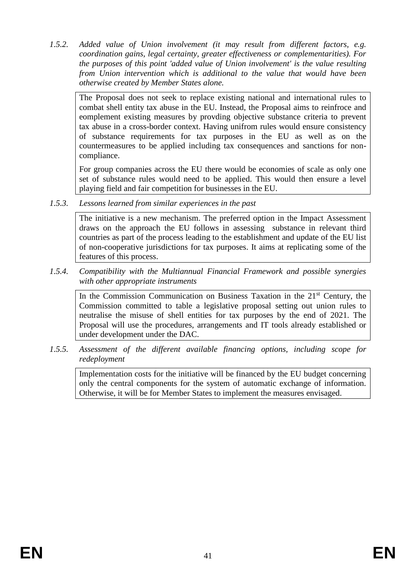*1.5.2. Added value of Union involvement (it may result from different factors, e.g. coordination gains, legal certainty, greater effectiveness or complementarities). For the purposes of this point 'added value of Union involvement' is the value resulting from Union intervention which is additional to the value that would have been otherwise created by Member States alone.*

The Proposal does not seek to replace existing national and international rules to combat shell entity tax abuse in the EU. Instead, the Proposal aims to reinfroce and eomplement existing measures by provding objective substance criteria to prevent tax abuse in a cross-border context. Having unifrom rules would ensure consistency of substance requirements for tax purposes in the EU as well as on the countermeasures to be applied including tax consequences and sanctions for noncompliance.

For group companies across the EU there would be economies of scale as only one set of substance rules would need to be applied. This would then ensure a level playing field and fair competition for businesses in the EU.

*1.5.3. Lessons learned from similar experiences in the past*

The initiative is a new mechanism. The preferred option in the Impact Assessment draws on the approach the EU follows in assessing substance in relevant third countries as part of the process leading to the establishment and update of the EU list of non-cooperative jurisdictions for tax purposes. It aims at replicating some of the features of this process.

*1.5.4. Compatibility with the Multiannual Financial Framework and possible synergies with other appropriate instruments*

In the Commission Communication on Business Taxation in the  $21<sup>st</sup>$  Century, the Commission committed to table a legislative proposal setting out union rules to neutralise the misuse of shell entities for tax purposes by the end of 2021. The Proposal will use the procedures, arrangements and IT tools already established or under development under the DAC.

*1.5.5. Assessment of the different available financing options, including scope for redeployment*

Implementation costs for the initiative will be financed by the EU budget concerning only the central components for the system of automatic exchange of information. Otherwise, it will be for Member States to implement the measures envisaged.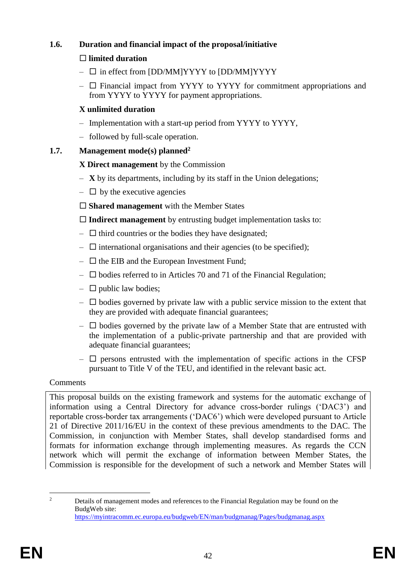# **1.6. Duration and financial impact of the proposal/initiative**

# **limited duration**

- $\square$  in effect from [DD/MM]YYYY to [DD/MM]YYYY
- $\Box$  Financial impact from YYYY to YYYY for commitment appropriations and from YYYY to YYYY for payment appropriations.

# **X unlimited duration**

- Implementation with a start-up period from YYYY to YYYY,
- followed by full-scale operation.

# **1.7. Management mode(s) planned<sup>2</sup>**

# **X Direct management** by the Commission

- **X** by its departments, including by its staff in the Union delegations;
- $\Box$  by the executive agencies
- **Shared management** with the Member States

**Indirect management** by entrusting budget implementation tasks to:

- $\Box$  third countries or the bodies they have designated;
- $\Box$  international organisations and their agencies (to be specified);
- $\Box$  the EIB and the European Investment Fund;
- $\square$  bodies referred to in Articles 70 and 71 of the Financial Regulation;
- $\Box$  public law bodies;
- $\Box$  bodies governed by private law with a public service mission to the extent that they are provided with adequate financial guarantees;
- $\Box$  bodies governed by the private law of a Member State that are entrusted with the implementation of a public-private partnership and that are provided with adequate financial guarantees;
- $\Box$  persons entrusted with the implementation of specific actions in the CFSP pursuant to Title V of the TEU, and identified in the relevant basic act.

# Comments

This proposal builds on the existing framework and systems for the automatic exchange of information using a Central Directory for advance cross-border rulings ('DAC3') and reportable cross-border tax arrangements ('DAC6') which were developed pursuant to Article 21 of Directive 2011/16/EU in the context of these previous amendments to the DAC. The Commission, in conjunction with Member States, shall develop standardised forms and formats for information exchange through implementing measures. As regards the CCN network which will permit the exchange of information between Member States, the Commission is responsible for the development of such a network and Member States will

 $\overline{2}$ <sup>2</sup> Details of management modes and references to the Financial Regulation may be found on the BudgWeb site: <https://myintracomm.ec.europa.eu/budgweb/EN/man/budgmanag/Pages/budgmanag.aspx>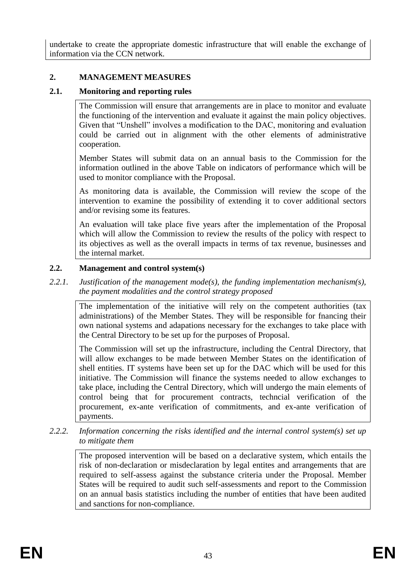undertake to create the appropriate domestic infrastructure that will enable the exchange of information via the CCN network.

## **2. MANAGEMENT MEASURES**

## **2.1. Monitoring and reporting rules**

The Commission will ensure that arrangements are in place to monitor and evaluate the functioning of the intervention and evaluate it against the main policy objectives. Given that "Unshell" involves a modification to the DAC, monitoring and evaluation could be carried out in alignment with the other elements of administrative cooperation.

Member States will submit data on an annual basis to the Commission for the information outlined in the above Table on indicators of performance which will be used to monitor compliance with the Proposal.

As monitoring data is available, the Commission will review the scope of the intervention to examine the possibility of extending it to cover additional sectors and/or revising some its features.

An evaluation will take place five years after the implementation of the Proposal which will allow the Commission to review the results of the policy with respect to its objectives as well as the overall impacts in terms of tax revenue, businesses and the internal market.

#### **2.2. Management and control system(s)**

*2.2.1. Justification of the management mode(s), the funding implementation mechanism(s), the payment modalities and the control strategy proposed*

The implementation of the initiative will rely on the competent authorities (tax administrations) of the Member States. They will be responsible for fnancing their own national systems and adapations necessary for the exchanges to take place with the Central Directory to be set up for the purposes of Proposal.

The Commission will set up the infrastructure, including the Central Directory, that will allow exchanges to be made between Member States on the identification of shell entities. IT systems have been set up for the DAC which will be used for this initiative. The Commission will finance the systems needed to allow exchanges to take place, including the Central Directory, which will undergo the main elements of control being that for procurement contracts, techncial verification of the procurement, ex-ante verification of commitments, and ex-ante verification of payments.

*2.2.2. Information concerning the risks identified and the internal control system(s) set up to mitigate them*

The proposed intervention will be based on a declarative system, which entails the risk of non-declaration or misdeclaration by legal entites and arrangements that are required to self-assess against the substance criteria under the Proposal. Member States will be required to audit such self-assessments and report to the Commission on an annual basis statistics including the number of entities that have been audited and sanctions for non-compliance.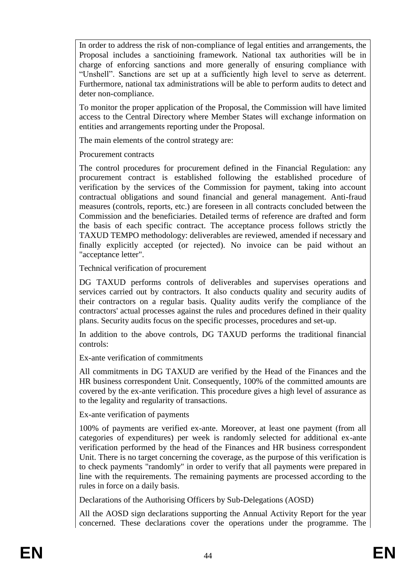In order to address the risk of non-compliance of legal entities and arrangements, the Proposal includes a sanctioining framework. National tax authorities will be in charge of enforcing sanctions and more generally of ensuring compliance with "Unshell". Sanctions are set up at a sufficiently high level to serve as deterrent. Furthermore, national tax administrations will be able to perform audits to detect and deter non-compliance.

To monitor the proper application of the Proposal, the Commission will have limited access to the Central Directory where Member States will exchange information on entities and arrangements reporting under the Proposal.

The main elements of the control strategy are:

Procurement contracts

The control procedures for procurement defined in the Financial Regulation: any procurement contract is established following the established procedure of verification by the services of the Commission for payment, taking into account contractual obligations and sound financial and general management. Anti-fraud measures (controls, reports, etc.) are foreseen in all contracts concluded between the Commission and the beneficiaries. Detailed terms of reference are drafted and form the basis of each specific contract. The acceptance process follows strictly the TAXUD TEMPO methodology: deliverables are reviewed, amended if necessary and finally explicitly accepted (or rejected). No invoice can be paid without an "acceptance letter".

Technical verification of procurement

DG TAXUD performs controls of deliverables and supervises operations and services carried out by contractors. It also conducts quality and security audits of their contractors on a regular basis. Quality audits verify the compliance of the contractors' actual processes against the rules and procedures defined in their quality plans. Security audits focus on the specific processes, procedures and set-up.

In addition to the above controls, DG TAXUD performs the traditional financial controls:

Ex-ante verification of commitments

All commitments in DG TAXUD are verified by the Head of the Finances and the HR business correspondent Unit. Consequently, 100% of the committed amounts are covered by the ex-ante verification. This procedure gives a high level of assurance as to the legality and regularity of transactions.

Ex-ante verification of payments

100% of payments are verified ex-ante. Moreover, at least one payment (from all categories of expenditures) per week is randomly selected for additional ex-ante verification performed by the head of the Finances and HR business correspondent Unit. There is no target concerning the coverage, as the purpose of this verification is to check payments "randomly" in order to verify that all payments were prepared in line with the requirements. The remaining payments are processed according to the rules in force on a daily basis.

Declarations of the Authorising Officers by Sub-Delegations (AOSD)

All the AOSD sign declarations supporting the Annual Activity Report for the year concerned. These declarations cover the operations under the programme. The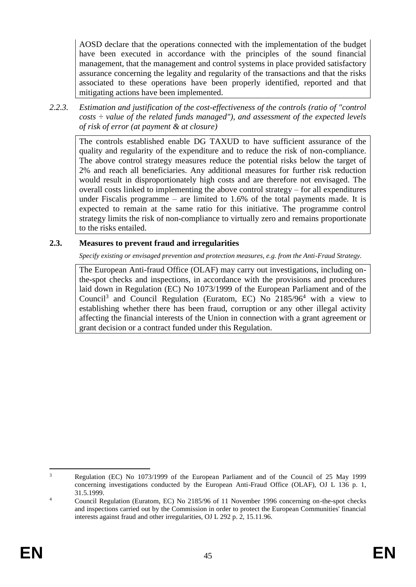AOSD declare that the operations connected with the implementation of the budget have been executed in accordance with the principles of the sound financial management, that the management and control systems in place provided satisfactory assurance concerning the legality and regularity of the transactions and that the risks associated to these operations have been properly identified, reported and that mitigating actions have been implemented.

*2.2.3. Estimation and justification of the cost-effectiveness of the controls (ratio of "control costs ÷ value of the related funds managed"), and assessment of the expected levels of risk of error (at payment & at closure)* 

The controls established enable DG TAXUD to have sufficient assurance of the quality and regularity of the expenditure and to reduce the risk of non-compliance. The above control strategy measures reduce the potential risks below the target of 2% and reach all beneficiaries. Any additional measures for further risk reduction would result in disproportionately high costs and are therefore not envisaged. The overall costs linked to implementing the above control strategy – for all expenditures under Fiscalis programme – are limited to  $1.6\%$  of the total payments made. It is expected to remain at the same ratio for this initiative. The programme control strategy limits the risk of non-compliance to virtually zero and remains proportionate to the risks entailed.

# **2.3. Measures to prevent fraud and irregularities**

*Specify existing or envisaged prevention and protection measures, e.g. from the Anti-Fraud Strategy.*

The European Anti-fraud Office (OLAF) may carry out investigations, including onthe-spot checks and inspections, in accordance with the provisions and procedures laid down in Regulation (EC) No 1073/1999 of the European Parliament and of the Council<sup>3</sup> and Council Regulation (Euratom, EC) No  $2185/96^4$  with a view to establishing whether there has been fraud, corruption or any other illegal activity affecting the financial interests of the Union in connection with a grant agreement or grant decision or a contract funded under this Regulation.

 $\overline{a}$ <sup>3</sup> Regulation (EC) No 1073/1999 of the European Parliament and of the Council of 25 May 1999 concerning investigations conducted by the European Anti-Fraud Office (OLAF), OJ L 136 p. 1, 31.5.1999.

<sup>&</sup>lt;sup>4</sup> Council Regulation (Euratom, EC) No 2185/96 of 11 November 1996 concerning on-the-spot checks and inspections carried out by the Commission in order to protect the European Communities' financial interests against fraud and other irregularities, OJ L 292 p. 2, 15.11.96.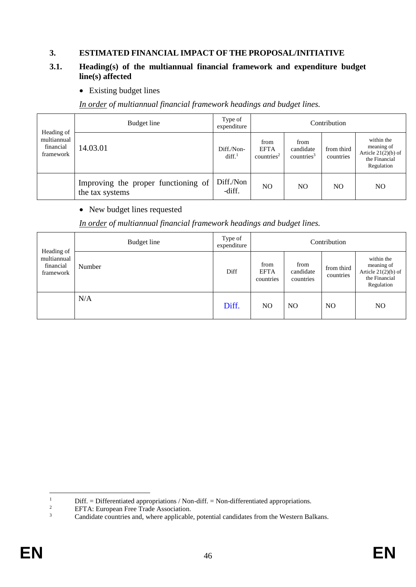# **3. ESTIMATED FINANCIAL IMPACT OF THE PROPOSAL/INITIATIVE**

#### **3.1. Heading(s) of the multiannual financial framework and expenditure budget line(s) affected**

• Existing budget lines

*In order of multiannual financial framework headings and budget lines.*

|                                                     | Budget line                                            | Type of<br>expenditure          |                                               |                                             | Contribution            |                                                                                  |
|-----------------------------------------------------|--------------------------------------------------------|---------------------------------|-----------------------------------------------|---------------------------------------------|-------------------------|----------------------------------------------------------------------------------|
| Heading of<br>multiannual<br>financial<br>framework | 14.03.01                                               | Diff./Non-<br>diff <sup>1</sup> | from<br><b>EFTA</b><br>countries <sup>2</sup> | from<br>candidate<br>countries <sup>3</sup> | from third<br>countries | within the<br>meaning of<br>Article $21(2)(b)$ of<br>the Financial<br>Regulation |
|                                                     | Improving the proper functioning of<br>the tax systems | Diff./Non<br>-diff.             | N <sub>O</sub>                                | NO                                          | NO.                     | NO.                                                                              |

#### • New budget lines requested

## *In order of multiannual financial framework headings and budget lines.*

| Heading of                            | Budget line | Type of<br>expenditure |                                  |                                | Contribution            |                                                                                  |
|---------------------------------------|-------------|------------------------|----------------------------------|--------------------------------|-------------------------|----------------------------------------------------------------------------------|
| multiannual<br>financial<br>framework | Number      | Diff                   | from<br><b>EFTA</b><br>countries | from<br>candidate<br>countries | from third<br>countries | within the<br>meaning of<br>Article $21(2)(b)$ of<br>the Financial<br>Regulation |
|                                       | N/A         | Diff.                  | N <sub>O</sub>                   | N <sub>O</sub>                 | N <sub>O</sub>          | NO                                                                               |

 $\,1\,$ <sup>1</sup> Diff. = Differentiated appropriations / Non-diff. = Non-differentiated appropriations.<br><sup>2</sup> EETA: European Free Trade Association

<sup>&</sup>lt;sup>2</sup> EFTA: European Free Trade Association.<br> $\frac{3}{2}$  Candidate countries and where applicable

Candidate countries and, where applicable, potential candidates from the Western Balkans.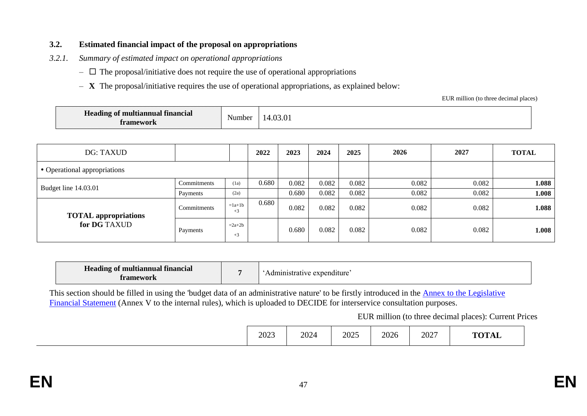## **3.2. Estimated financial impact of the proposal on appropriations**

- *3.2.1. Summary of estimated impact on operational appropriations* 
	- $\Box$  The proposal/initiative does not require the use of operational appropriations
	- **X** The proposal/initiative requires the use of operational appropriations, as explained below:

EUR million (to three decimal places)

| Heading of multiannual financial | $\mathbf{v}$ | $\curvearrowright$ |
|----------------------------------|--------------|--------------------|
| ıework                           | Number       | $, \nu$            |
|                                  |              |                    |

| DG: TAXUD                    |             |                  | 2022  | 2023  | 2024  | 2025  | 2026  | 2027  | <b>TOTAL</b> |
|------------------------------|-------------|------------------|-------|-------|-------|-------|-------|-------|--------------|
| • Operational appropriations |             |                  |       |       |       |       |       |       |              |
|                              | Commitments | (1a)             | 0.680 | 0.082 | 0.082 | 0.082 | 0.082 | 0.082 | 1.088        |
| Budget line 14.03.01         | Payments    | (2a)             |       | 0.680 | 0.082 | 0.082 | 0.082 | 0.082 | 1.008        |
| <b>TOTAL</b> appropriations  | Commitments | $=1a+1b$<br>$+3$ | 0.680 | 0.082 | 0.082 | 0.082 | 0.082 | 0.082 | 1.088        |
| for DG TAXUD                 | Payments    | $=2a+2b$<br>$+3$ |       | 0.680 | 0.082 | 0.082 | 0.082 | 0.082 | 1.008        |

| <b>Heading of multiannual financial</b><br>romowork |  | expenditure<br>annistrativ<br>ır |
|-----------------------------------------------------|--|----------------------------------|
|-----------------------------------------------------|--|----------------------------------|

This section should be filled in using the 'budget data of an administrative nature' to be firstly introduced in the Annex [to the Legislative](https://myintracomm.ec.europa.eu/budgweb/EN/leg/internal/Documents/2016-5-legislative-financial-statement-ann-en.docx)  [Financial Statement](https://myintracomm.ec.europa.eu/budgweb/EN/leg/internal/Documents/2016-5-legislative-financial-statement-ann-en.docx) (Annex V to the internal rules), which is uploaded to DECIDE for interservice consultation purposes.

EUR million (to three decimal places): Current Prices

|  | 2023 | 2024 | 2025 | 2026 | 2027<br>$\sim$ $\sim$ $\sim$ | TUT |  |
|--|------|------|------|------|------------------------------|-----|--|
|--|------|------|------|------|------------------------------|-----|--|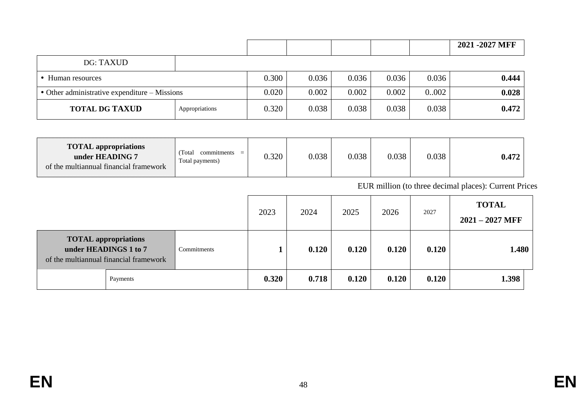|                                                       |                |       |       |       |       |       | 2021 - 2027 MFF |
|-------------------------------------------------------|----------------|-------|-------|-------|-------|-------|-----------------|
| DG: TAXUD                                             |                |       |       |       |       |       |                 |
| Human resources                                       |                | 0.300 | 0.036 | 0.036 | 0.036 | 0.036 | 0.444           |
| $\bullet$ Other administrative expenditure – Missions |                | 0.020 | 0.002 | 0.002 | 0.002 | 0.002 | 0.028           |
| <b>TOTAL DG TAXUD</b>                                 | Appropriations | 0.320 | 0.038 | 0.038 | 0.038 | 0.038 | 0.472           |

| <b>TOTAL appropriations</b><br>under HEADING 7<br>of the multiannual financial framework | Total<br>commitments<br>$\equiv$<br>Total payments) | 0.320 | 0.038 | 0.038 | 0.038 | 0.038 | 0.472 |
|------------------------------------------------------------------------------------------|-----------------------------------------------------|-------|-------|-------|-------|-------|-------|
|------------------------------------------------------------------------------------------|-----------------------------------------------------|-------|-------|-------|-------|-------|-------|

EUR million (to three decimal places): Current Prices

|                                                                                                |             | 2023  | 2024  | 2025  | 2026  | 2027  | <b>TOTAL</b><br>$2021 - 2027$ MFF |
|------------------------------------------------------------------------------------------------|-------------|-------|-------|-------|-------|-------|-----------------------------------|
| <b>TOTAL appropriations</b><br>under HEADINGS 1 to 7<br>of the multiannual financial framework | Commitments |       | 0.120 | 0.120 | 0.120 | 0.120 | 1.480                             |
| Payments                                                                                       |             | 0.320 | 0.718 | 0.120 | 0.120 | 0.120 | 1.398                             |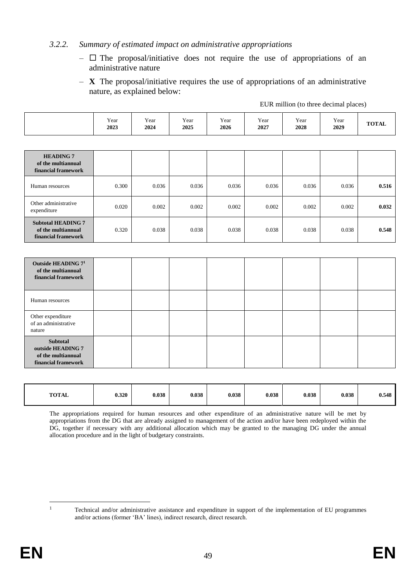### *3.2.2. Summary of estimated impact on administrative appropriations*

- $\Box$  The proposal/initiative does not require the use of appropriations of an administrative nature
- **X** The proposal/initiative requires the use of appropriations of an administrative nature, as explained below:

|                                                                        | Year<br>2023 | Year<br>2024 | Year<br>2025 | Year<br>2026 | Year<br>2027 | Year<br>2028 | Year<br>2029 | <b>TOTAL</b> |
|------------------------------------------------------------------------|--------------|--------------|--------------|--------------|--------------|--------------|--------------|--------------|
|                                                                        |              |              |              |              |              |              |              |              |
| <b>HEADING 7</b><br>of the multiannual<br>financial framework          |              |              |              |              |              |              |              |              |
| Human resources                                                        | 0.300        | 0.036        | 0.036        | 0.036        | 0.036        | 0.036        | 0.036        | 0.516        |
| Other administrative<br>expenditure                                    | 0.020        | 0.002        | 0.002        | 0.002        | 0.002        | 0.002        | 0.002        | 0.032        |
| <b>Subtotal HEADING 7</b><br>of the multiannual<br>financial framework | 0.320        | 0.038        | 0.038        | 0.038        | 0.038        | 0.038        | 0.038        | 0.548        |

EUR million (to three decimal places)

| Outside HEADING $71$<br>of the multiannual<br>financial framework          |  |  |  |  |
|----------------------------------------------------------------------------|--|--|--|--|
| Human resources                                                            |  |  |  |  |
| Other expenditure<br>of an administrative<br>nature                        |  |  |  |  |
| Subtotal<br>outside HEADING 7<br>of the multiannual<br>financial framework |  |  |  |  |

| <b>TOTAL</b> | 0.320 | 0.038 | 0.038 | 0.038 | 0.038 | 0.038 | 0.038 | 0.548 |
|--------------|-------|-------|-------|-------|-------|-------|-------|-------|
|              |       |       |       |       |       |       |       |       |

The appropriations required for human resources and other expenditure of an administrative nature will be met by appropriations from the DG that are already assigned to management of the action and/or have been redeployed within the DG, together if necessary with any additional allocation which may be granted to the managing DG under the annual allocation procedure and in the light of budgetary constraints.

 $\,1\,$ 

<sup>1</sup> Technical and/or administrative assistance and expenditure in support of the implementation of EU programmes and/or actions (former 'BA' lines), indirect research, direct research.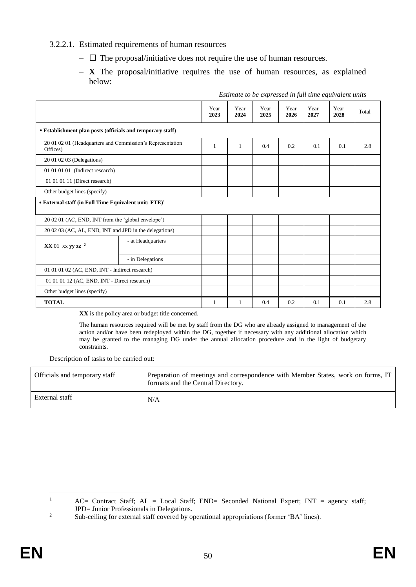## 3.2.2.1. Estimated requirements of human resources

- $\Box$  The proposal/initiative does not require the use of human resources.
- **X** The proposal/initiative requires the use of human resources, as explained below:

|                                                                           |                   | Year<br>2023 | Year<br>2024 | Year<br>2025 | Year<br>2026 | Year<br>2027 | Year<br>2028 | Total |
|---------------------------------------------------------------------------|-------------------|--------------|--------------|--------------|--------------|--------------|--------------|-------|
| • Establishment plan posts (officials and temporary staff)                |                   |              |              |              |              |              |              |       |
| 20 01 02 01 (Headquarters and Commission's Representation<br>Offices)     |                   |              | $\mathbf{1}$ | 0.4          | 0.2          | 0.1          | 0.1          | 2.8   |
| 20 01 02 03 (Delegations)                                                 |                   |              |              |              |              |              |              |       |
| 01 01 01 01 (Indirect research)                                           |                   |              |              |              |              |              |              |       |
| 01 01 01 11 (Direct research)                                             |                   |              |              |              |              |              |              |       |
| Other budget lines (specify)                                              |                   |              |              |              |              |              |              |       |
| $\bullet$ External staff (in Full Time Equivalent unit: FTE) <sup>1</sup> |                   |              |              |              |              |              |              |       |
| 20 02 01 (AC, END, INT from the 'global envelope')                        |                   |              |              |              |              |              |              |       |
| 20 02 03 (AC, AL, END, INT and JPD in the delegations)                    |                   |              |              |              |              |              |              |       |
| $XX$ 01 xx yy zz <sup>2</sup>                                             | - at Headquarters |              |              |              |              |              |              |       |
|                                                                           | - in Delegations  |              |              |              |              |              |              |       |
| 01 01 01 02 (AC, END, INT - Indirect research)                            |                   |              |              |              |              |              |              |       |
| 01 01 01 12 (AC, END, INT - Direct research)                              |                   |              |              |              |              |              |              |       |
| Other budget lines (specify)                                              |                   |              |              |              |              |              |              |       |
| <b>TOTAL</b>                                                              |                   | 1            | 1            | 0.4          | 0.2          | 0.1          | 0.1          | 2.8   |

*Estimate to be expressed in full time equivalent units*

**XX** is the policy area or budget title concerned.

The human resources required will be met by staff from the DG who are already assigned to management of the action and/or have been redeployed within the DG, together if necessary with any additional allocation which may be granted to the managing DG under the annual allocation procedure and in the light of budgetary constraints.

Description of tasks to be carried out:

| Officials and temporary staff | Preparation of meetings and correspondence with Member States, work on forms, IT<br>formats and the Central Directory. |
|-------------------------------|------------------------------------------------------------------------------------------------------------------------|
| External staff                | N/A                                                                                                                    |

 $\mathbf{1}$ <sup>1</sup> AC= Contract Staff; AL = Local Staff; END= Seconded National Expert; INT = agency staff; JPD= Junior Professionals in Delegations.

<sup>&</sup>lt;sup>2</sup> Sub-ceiling for external staff covered by operational appropriations (former 'BA' lines).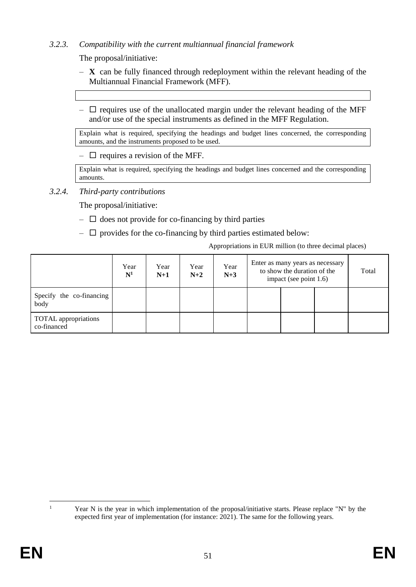# *3.2.3. Compatibility with the current multiannual financial framework*

The proposal/initiative:

- **X** can be fully financed through redeployment within the relevant heading of the Multiannual Financial Framework (MFF).
- $\Box$  requires use of the unallocated margin under the relevant heading of the MFF and/or use of the special instruments as defined in the MFF Regulation.

Explain what is required, specifying the headings and budget lines concerned, the corresponding amounts, and the instruments proposed to be used.

 $\Box$  requires a revision of the MFF.

Explain what is required, specifying the headings and budget lines concerned and the corresponding amounts.

# *3.2.4. Third-party contributions*

The proposal/initiative:

- $\Box$  does not provide for co-financing by third parties
- $\Box$  provides for the co-financing by third parties estimated below:

Appropriations in EUR million (to three decimal places)

|                                            | Year<br>$\mathbf{N}^1$ | Year<br>$N+1$ | Year<br>$N+2$ | Year<br>$N+3$ | Enter as many years as necessary<br>to show the duration of the<br>impact (see point 1.6) |  |  | Total |
|--------------------------------------------|------------------------|---------------|---------------|---------------|-------------------------------------------------------------------------------------------|--|--|-------|
| Specify the co-financing<br>body           |                        |               |               |               |                                                                                           |  |  |       |
| <b>TOTAL</b> appropriations<br>co-financed |                        |               |               |               |                                                                                           |  |  |       |

 $\overline{a}$ 

Year N is the year in which implementation of the proposal/initiative starts. Please replace "N" by the expected first year of implementation (for instance: 2021). The same for the following years.